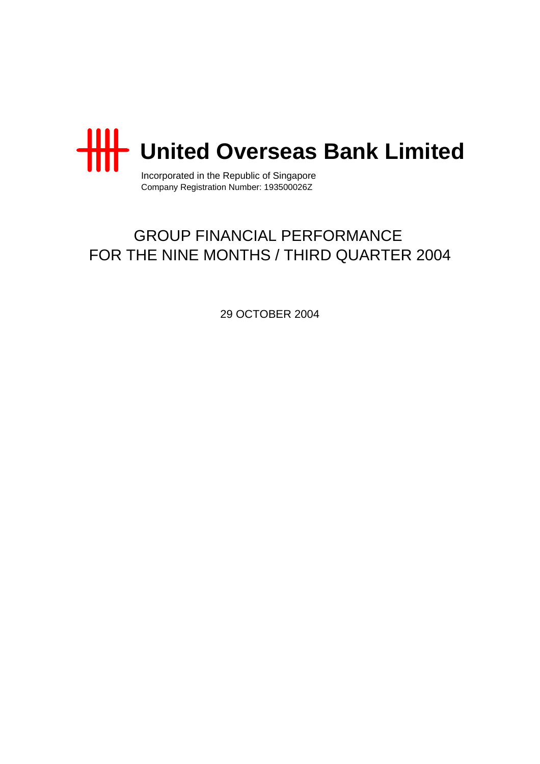

Incorporated in the Republic of Singapore Company Registration Number: 193500026Z

# GROUP FINANCIAL PERFORMANCE FOR THE NINE MONTHS / THIRD QUARTER 2004

29 OCTOBER 2004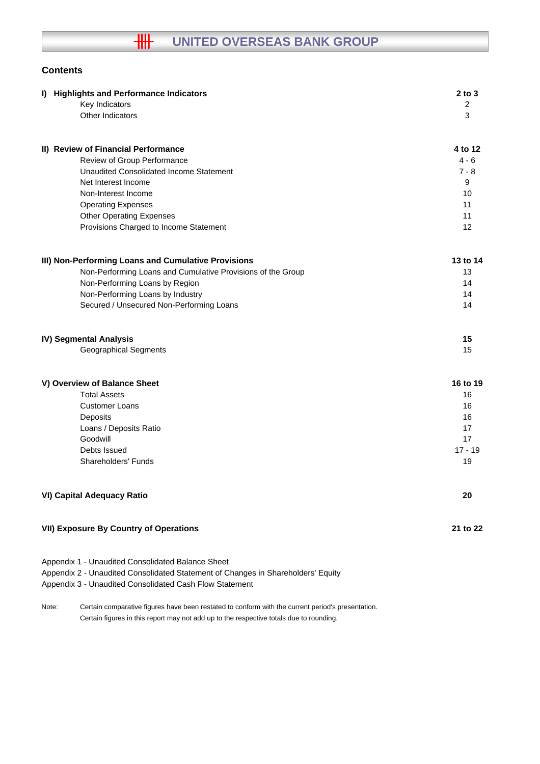# **Contents**

| I) Highlights and Performance Indicators                                                                                                                                                         | $2$ to $3$ |
|--------------------------------------------------------------------------------------------------------------------------------------------------------------------------------------------------|------------|
| Key Indicators                                                                                                                                                                                   | 2          |
| Other Indicators                                                                                                                                                                                 | 3          |
| II) Review of Financial Performance                                                                                                                                                              | 4 to 12    |
| Review of Group Performance                                                                                                                                                                      | $4 - 6$    |
| <b>Unaudited Consolidated Income Statement</b>                                                                                                                                                   | 7 - 8      |
| Net Interest Income                                                                                                                                                                              | 9          |
| Non-Interest Income                                                                                                                                                                              | 10         |
| <b>Operating Expenses</b>                                                                                                                                                                        | 11         |
| <b>Other Operating Expenses</b>                                                                                                                                                                  | 11         |
| Provisions Charged to Income Statement                                                                                                                                                           | 12         |
| III) Non-Performing Loans and Cumulative Provisions                                                                                                                                              | 13 to 14   |
| Non-Performing Loans and Cumulative Provisions of the Group                                                                                                                                      | 13         |
| Non-Performing Loans by Region                                                                                                                                                                   | 14         |
| Non-Performing Loans by Industry                                                                                                                                                                 | 14         |
| Secured / Unsecured Non-Performing Loans                                                                                                                                                         | 14         |
| IV) Segmental Analysis                                                                                                                                                                           | 15         |
| <b>Geographical Segments</b>                                                                                                                                                                     | 15         |
| V) Overview of Balance Sheet                                                                                                                                                                     | 16 to 19   |
| <b>Total Assets</b>                                                                                                                                                                              | 16         |
| <b>Customer Loans</b>                                                                                                                                                                            | 16         |
| Deposits                                                                                                                                                                                         | 16         |
| Loans / Deposits Ratio                                                                                                                                                                           | 17         |
| Goodwill                                                                                                                                                                                         | 17         |
| Debts Issued                                                                                                                                                                                     | $17 - 19$  |
| Shareholders' Funds                                                                                                                                                                              | 19         |
| <b>VI) Capital Adequacy Ratio</b>                                                                                                                                                                | 20         |
| <b>VII) Exposure By Country of Operations</b>                                                                                                                                                    | 21 to 22   |
| Appendix 1 - Unaudited Consolidated Balance Sheet<br>Appendix 2 - Unaudited Consolidated Statement of Changes in Shareholders' Equity<br>Appendix 3 - Unaudited Consolidated Cash Flow Statement |            |

Note: Certain comparative figures have been restated to conform with the current period's presentation. Certain figures in this report may not add up to the respective totals due to rounding.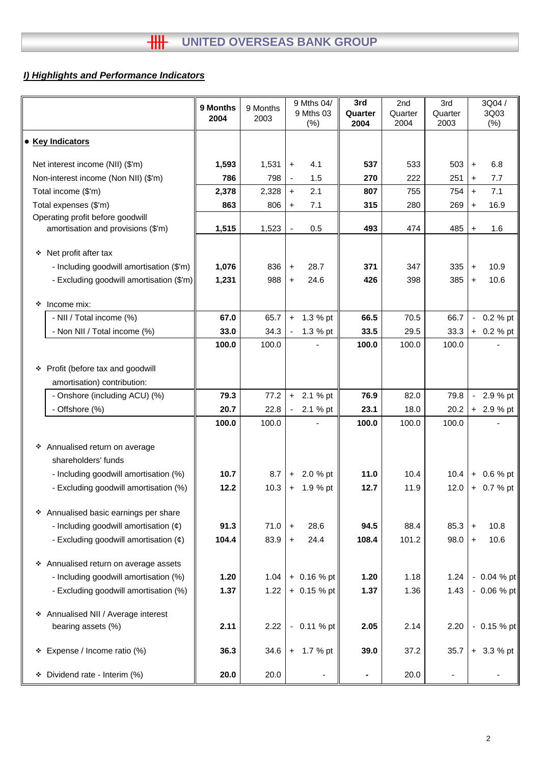# *I) Highlights and Performance Indicators*

|                                            | 9 Months<br>2004 | 9 Months<br>2003 |                | 9 Mths 04/<br>9 Mths 03<br>(% ) | 3rd<br>Quarter<br>2004 | 2nd<br>Quarter<br>2004 | 3rd<br>Quarter<br>2003   |                          | 3Q04/<br>3Q03<br>(% ) |
|--------------------------------------------|------------------|------------------|----------------|---------------------------------|------------------------|------------------------|--------------------------|--------------------------|-----------------------|
| • Key Indicators                           |                  |                  |                |                                 |                        |                        |                          |                          |                       |
| Net interest income (NII) (\$'m)           | 1,593            | 1,531            | $\ddot{}$      | 4.1                             | 537                    | 533                    | 503                      | $\ddot{}$                | 6.8                   |
| Non-interest income (Non NII) (\$'m)       | 786              | 798              |                | 1.5                             | 270                    | 222                    | 251                      | $\ddot{}$                | 7.7                   |
| Total income (\$'m)                        | 2,378            | 2,328            | $+$            | 2.1                             | 807                    | 755                    | 754                      | $+$                      | 7.1                   |
| Total expenses (\$'m)                      | 863              | 806              | $\ddot{}$      | 7.1                             | 315                    | 280                    | 269                      | $\ddot{}$                | 16.9                  |
| Operating profit before goodwill           |                  |                  |                |                                 |                        |                        |                          |                          |                       |
| amortisation and provisions (\$'m)         | 1,515            | 1,523            | $\blacksquare$ | 0.5                             | 493                    | 474                    | 485                      | $\ddot{}$                | 1.6                   |
| Net profit after tax<br>❖                  |                  |                  |                |                                 |                        |                        |                          |                          |                       |
| - Including goodwill amortisation (\$'m)   | 1,076            | 836              | $\ddot{}$      | 28.7                            | 371                    | 347                    | 335                      | $\pm$                    | 10.9                  |
| - Excluding goodwill amortisation (\$'m)   | 1,231            | 988              | $\ddot{}$      | 24.6                            | 426                    | 398                    | 385                      | $\ddot{}$                | 10.6                  |
| Income mix:<br>❖                           |                  |                  |                |                                 |                        |                        |                          |                          |                       |
| - NII / Total income (%)                   | 67.0             | 65.7             | $+$            | 1.3 % pt                        | 66.5                   | 70.5                   | 66.7                     | $\overline{\phantom{0}}$ | 0.2 % pt              |
| - Non NII / Total income (%)               | 33.0             | 34.3             |                | 1.3 % pt                        | 33.5                   | 29.5                   | 33.3                     |                          | $+ 0.2 %$ pt          |
|                                            | 100.0            | 100.0            |                |                                 | 100.0                  | 100.0                  | 100.0                    |                          |                       |
| Profit (before tax and goodwill<br>❖       |                  |                  |                |                                 |                        |                        |                          |                          |                       |
| amortisation) contribution:                |                  |                  |                |                                 |                        |                        |                          |                          |                       |
| - Onshore (including ACU) (%)              | 79.3             | 77.2             | $+$            | 2.1 % pt                        | 76.9                   | 82.0                   | 79.8                     | $\sim$                   | 2.9 % pt              |
| - Offshore (%)                             | 20.7             | 22.8             |                | 2.1 % pt                        | 23.1                   | 18.0                   | 20.2                     |                          | + 2.9 % pt            |
|                                            | 100.0            | 100.0            |                |                                 | 100.0                  | 100.0                  | 100.0                    |                          |                       |
| * Annualised return on average             |                  |                  |                |                                 |                        |                        |                          |                          |                       |
| shareholders' funds                        |                  |                  |                |                                 |                        |                        |                          |                          |                       |
| - Including goodwill amortisation (%)      | 10.7             | 8.7              | $+$            | 2.0 % pt                        | 11.0                   | 10.4                   | 10.4                     |                          | $+ 0.6 %$ pt          |
| - Excluding goodwill amortisation (%)      | 12.2             | 10.3             |                | $+ 1.9 %$ pt                    | 12.7                   | 11.9                   | 12.0                     |                          | + 0.7 % pt            |
| * Annualised basic earnings per share      |                  |                  |                |                                 |                        |                        |                          |                          |                       |
| - Including goodwill amortisation $(\phi)$ | 91.3             | 71.0             | $\ddot{}$      | 28.6                            | 94.5                   | 88.4                   | 85.3                     | $\ddot{}$                | 10.8                  |
| - Excluding goodwill amortisation $(\phi)$ | 104.4            | 83.9             | $+$            | 24.4                            | 108.4                  | 101.2                  | 98.0                     | $\ddot{}$                | 10.6                  |
| * Annualised return on average assets      |                  |                  |                |                                 |                        |                        |                          |                          |                       |
| - Including goodwill amortisation (%)      | 1.20             | 1.04             |                | $+ 0.16 %$ pt                   | 1.20                   | 1.18                   | 1.24                     |                          | $-0.04 \%$ pt         |
| - Excluding goodwill amortisation (%)      | 1.37             | 1.22             |                | $+0.15%$ pt                     | 1.37                   | 1.36                   | 1.43                     |                          | $-0.06%$ pt           |
| * Annualised NII / Average interest        |                  |                  |                |                                 |                        |                        |                          |                          |                       |
| bearing assets (%)                         | 2.11             | 2.22             | $\blacksquare$ | 0.11 % pt                       | 2.05                   | 2.14                   | 2.20                     |                          | $-0.15 \%$ pt         |
| Expense / Income ratio (%)<br>❖            | 36.3             | 34.6             |                | $+ 1.7 %$ pt                    | 39.0                   | 37.2                   | 35.7                     |                          | $+3.3%$ pt            |
| * Dividend rate - Interim (%)              | 20.0             | 20.0             |                | -                               | ۰                      | 20.0                   | $\overline{\phantom{a}}$ |                          |                       |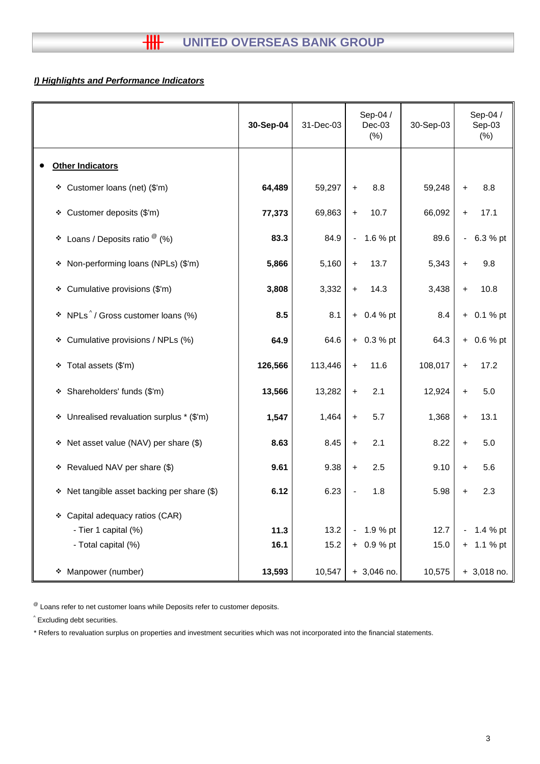# *I) Highlights and Performance Indicators*

|                                                                                   | 30-Sep-04    | 31-Dec-03    | Sep-04 /<br>$Dec-03$<br>$(\%)$ | 30-Sep-03    | Sep-04 /<br>Sep-03<br>(% ) |
|-----------------------------------------------------------------------------------|--------------|--------------|--------------------------------|--------------|----------------------------|
| <b>Other Indicators</b>                                                           |              |              |                                |              |                            |
| ❖ Customer loans (net) (\$'m)                                                     | 64,489       | 59,297       | 8.8<br>$\ddot{}$               | 59,248       | 8.8<br>$\ddot{}$           |
| Customer deposits (\$'m)<br>۰                                                     | 77,373       | 69,863       | 10.7<br>$\ddot{}$              | 66,092       | 17.1<br>$\ddot{}$          |
| Loans / Deposits ratio $^\circledR$ (%)<br>٠                                      | 83.3         | 84.9         | 1.6 % pt<br>$\blacksquare$     | 89.6         | 6.3 % pt<br>$\blacksquare$ |
| Non-performing loans (NPLs) (\$'m)<br>۰                                           | 5,866        | 5,160        | 13.7<br>$\ddot{}$              | 5,343        | 9.8<br>$\ddot{}$           |
| Cumulative provisions (\$'m)<br>۰                                                 | 3,808        | 3,332        | 14.3<br>$\boldsymbol{+}$       | 3,438        | 10.8<br>$\ddot{}$          |
| NPLs <sup>^</sup> / Gross customer loans (%)<br>۰                                 | 8.5          | 8.1          | $+ 0.4 %$ pt                   | 8.4          | $+ 0.1 %$ pt               |
| Cumulative provisions / NPLs (%)<br>۰                                             | 64.9         | 64.6         | $+ 0.3 %$ pt                   | 64.3         | 0.6 % pt<br>$+$            |
| Total assets (\$'m)<br>❖                                                          | 126,566      | 113,446      | 11.6<br>$\ddot{}$              | 108,017      | 17.2<br>$\ddot{}$          |
| Shareholders' funds (\$'m)<br>❖                                                   | 13,566       | 13,282       | 2.1<br>$\ddot{}$               | 12,924       | 5.0<br>$\ddot{}$           |
| Unrealised revaluation surplus * (\$'m)<br>❖                                      | 1,547        | 1,464        | 5.7<br>$\ddag$                 | 1,368        | 13.1<br>$\pm$              |
| Net asset value (NAV) per share (\$)<br>❖                                         | 8.63         | 8.45         | 2.1<br>$\ddot{\phantom{1}}$    | 8.22         | 5.0<br>$\ddot{}$           |
| Revalued NAV per share (\$)<br>❖                                                  | 9.61         | 9.38         | 2.5<br>$\ddot{}$               | 9.10         | 5.6<br>$\pm$               |
| Net tangible asset backing per share (\$)<br>۰                                    | 6.12         | 6.23         | 1.8                            | 5.98         | 2.3<br>+                   |
| Capital adequacy ratios (CAR)<br>❖<br>- Tier 1 capital (%)<br>- Total capital (%) | 11.3<br>16.1 | 13.2<br>15.2 | 1.9 % pt<br>$+ 0.9 %$ pt       | 12.7<br>15.0 | 1.4 % pt<br>$+ 1.1 %$ pt   |
| Manpower (number)<br>۰                                                            | 13,593       | 10,547       | $+3,046$ no.                   | 10,575       | $+3,018$ no.               |

 $^{\circledR}$  Loans refer to net customer loans while Deposits refer to customer deposits.

^ Excluding debt securities.

\* Refers to revaluation surplus on properties and investment securities which was not incorporated into the financial statements.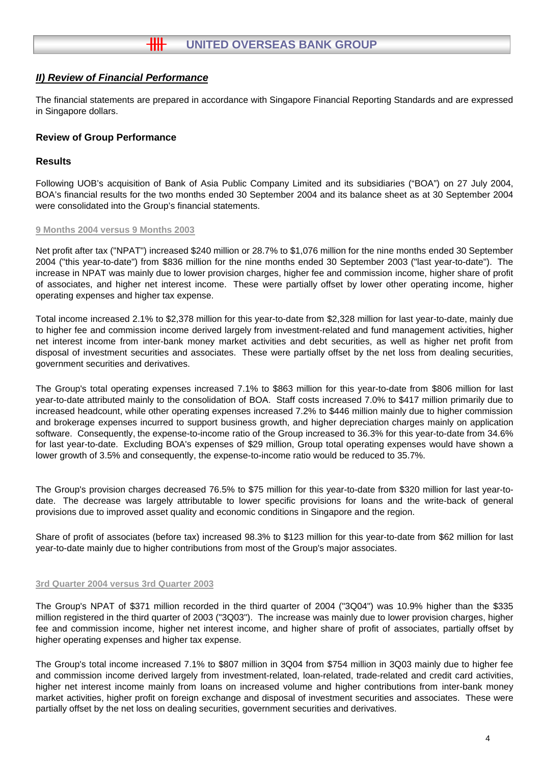The financial statements are prepared in accordance with Singapore Financial Reporting Standards and are expressed in Singapore dollars.

# **Review of Group Performance**

## **Results**

Following UOB's acquisition of Bank of Asia Public Company Limited and its subsidiaries ("BOA") on 27 July 2004, BOA's financial results for the two months ended 30 September 2004 and its balance sheet as at 30 September 2004 were consolidated into the Group's financial statements.

#### **9 Months 2004 versus 9 Months 2003**

Net profit after tax ("NPAT") increased \$240 million or 28.7% to \$1,076 million for the nine months ended 30 September 2004 ("this year-to-date") from \$836 million for the nine months ended 30 September 2003 ("last year-to-date"). The increase in NPAT was mainly due to lower provision charges, higher fee and commission income, higher share of profit of associates, and higher net interest income. These were partially offset by lower other operating income, higher operating expenses and higher tax expense.

Total income increased 2.1% to \$2,378 million for this year-to-date from \$2,328 million for last year-to-date, mainly due to higher fee and commission income derived largely from investment-related and fund management activities, higher net interest income from inter-bank money market activities and debt securities, as well as higher net profit from disposal of investment securities and associates. These were partially offset by the net loss from dealing securities, government securities and derivatives.

The Group's total operating expenses increased 7.1% to \$863 million for this year-to-date from \$806 million for last year-to-date attributed mainly to the consolidation of BOA. Staff costs increased 7.0% to \$417 million primarily due to increased headcount, while other operating expenses increased 7.2% to \$446 million mainly due to higher commission and brokerage expenses incurred to support business growth, and higher depreciation charges mainly on application software. Consequently, the expense-to-income ratio of the Group increased to 36.3% for this year-to-date from 34.6% for last year-to-date. Excluding BOA's expenses of \$29 million, Group total operating expenses would have shown a lower growth of 3.5% and consequently, the expense-to-income ratio would be reduced to 35.7%.

The Group's provision charges decreased 76.5% to \$75 million for this year-to-date from \$320 million for last year-todate. The decrease was largely attributable to lower specific provisions for loans and the write-back of general provisions due to improved asset quality and economic conditions in Singapore and the region.

Share of profit of associates (before tax) increased 98.3% to \$123 million for this year-to-date from \$62 million for last year-to-date mainly due to higher contributions from most of the Group's major associates.

#### **3rd Quarter 2004 versus 3rd Quarter 2003**

The Group's NPAT of \$371 million recorded in the third quarter of 2004 ("3Q04") was 10.9% higher than the \$335 million registered in the third quarter of 2003 ("3Q03"). The increase was mainly due to lower provision charges, higher fee and commission income, higher net interest income, and higher share of profit of associates, partially offset by higher operating expenses and higher tax expense.

The Group's total income increased 7.1% to \$807 million in 3Q04 from \$754 million in 3Q03 mainly due to higher fee and commission income derived largely from investment-related, loan-related, trade-related and credit card activities, higher net interest income mainly from loans on increased volume and higher contributions from inter-bank money market activities, higher profit on foreign exchange and disposal of investment securities and associates. These were partially offset by the net loss on dealing securities, government securities and derivatives.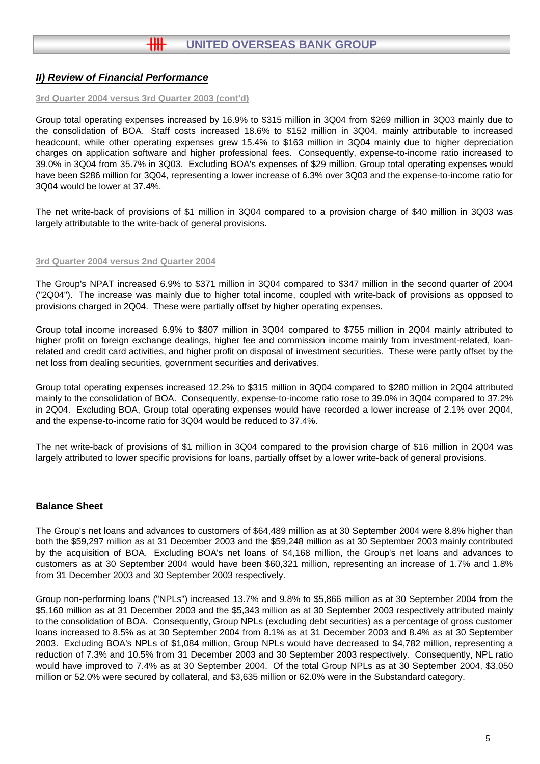#### **3rd Quarter 2004 versus 3rd Quarter 2003 (cont'd)**

Group total operating expenses increased by 16.9% to \$315 million in 3Q04 from \$269 million in 3Q03 mainly due to the consolidation of BOA. Staff costs increased 18.6% to \$152 million in 3Q04, mainly attributable to increased headcount, while other operating expenses grew 15.4% to \$163 million in 3Q04 mainly due to higher depreciation charges on application software and higher professional fees. Consequently, expense-to-income ratio increased to 39.0% in 3Q04 from 35.7% in 3Q03. Excluding BOA's expenses of \$29 million, Group total operating expenses would have been \$286 million for 3Q04, representing a lower increase of 6.3% over 3Q03 and the expense-to-income ratio for 3Q04 would be lower at 37.4%.

The net write-back of provisions of \$1 million in 3Q04 compared to a provision charge of \$40 million in 3Q03 was largely attributable to the write-back of general provisions.

#### **3rd Quarter 2004 versus 2nd Quarter 2004**

The Group's NPAT increased 6.9% to \$371 million in 3Q04 compared to \$347 million in the second quarter of 2004 ("2Q04"). The increase was mainly due to higher total income, coupled with write-back of provisions as opposed to provisions charged in 2Q04. These were partially offset by higher operating expenses.

Group total income increased 6.9% to \$807 million in 3Q04 compared to \$755 million in 2Q04 mainly attributed to higher profit on foreign exchange dealings, higher fee and commission income mainly from investment-related, loanrelated and credit card activities, and higher profit on disposal of investment securities. These were partly offset by the net loss from dealing securities, government securities and derivatives.

Group total operating expenses increased 12.2% to \$315 million in 3Q04 compared to \$280 million in 2Q04 attributed mainly to the consolidation of BOA. Consequently, expense-to-income ratio rose to 39.0% in 3Q04 compared to 37.2% in 2Q04. Excluding BOA, Group total operating expenses would have recorded a lower increase of 2.1% over 2Q04, and the expense-to-income ratio for 3Q04 would be reduced to 37.4%.

The net write-back of provisions of \$1 million in 3Q04 compared to the provision charge of \$16 million in 2Q04 was largely attributed to lower specific provisions for loans, partially offset by a lower write-back of general provisions.

## **Balance Sheet**

The Group's net loans and advances to customers of \$64,489 million as at 30 September 2004 were 8.8% higher than both the \$59,297 million as at 31 December 2003 and the \$59,248 million as at 30 September 2003 mainly contributed by the acquisition of BOA. Excluding BOA's net loans of \$4,168 million, the Group's net loans and advances to customers as at 30 September 2004 would have been \$60,321 million, representing an increase of 1.7% and 1.8% from 31 December 2003 and 30 September 2003 respectively.

Group non-performing loans ("NPLs") increased 13.7% and 9.8% to \$5,866 million as at 30 September 2004 from the \$5,160 million as at 31 December 2003 and the \$5,343 million as at 30 September 2003 respectively attributed mainly to the consolidation of BOA. Consequently, Group NPLs (excluding debt securities) as a percentage of gross customer loans increased to 8.5% as at 30 September 2004 from 8.1% as at 31 December 2003 and 8.4% as at 30 September 2003. Excluding BOA's NPLs of \$1,084 million, Group NPLs would have decreased to \$4,782 million, representing a reduction of 7.3% and 10.5% from 31 December 2003 and 30 September 2003 respectively. Consequently, NPL ratio would have improved to 7.4% as at 30 September 2004. Of the total Group NPLs as at 30 September 2004, \$3,050 million or 52.0% were secured by collateral, and \$3,635 million or 62.0% were in the Substandard category.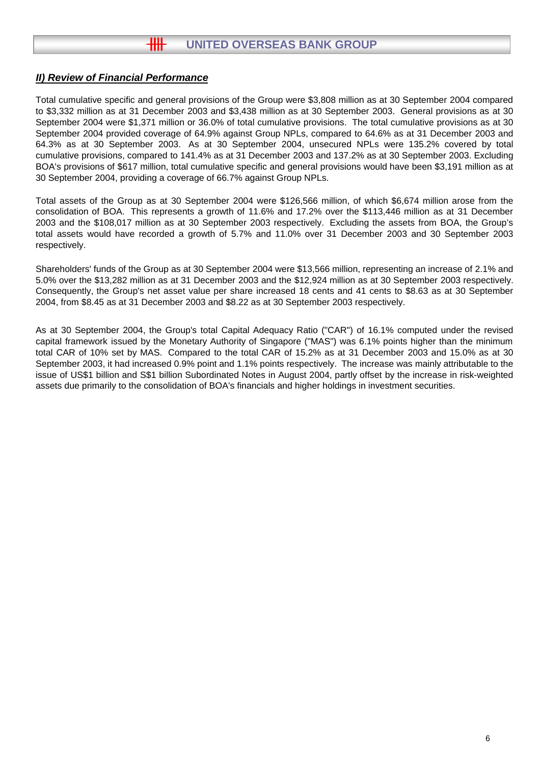Total cumulative specific and general provisions of the Group were \$3,808 million as at 30 September 2004 compared to \$3,332 million as at 31 December 2003 and \$3,438 million as at 30 September 2003. General provisions as at 30 September 2004 were \$1,371 million or 36.0% of total cumulative provisions. The total cumulative provisions as at 30 September 2004 provided coverage of 64.9% against Group NPLs, compared to 64.6% as at 31 December 2003 and 64.3% as at 30 September 2003. As at 30 September 2004, unsecured NPLs were 135.2% covered by total cumulative provisions, compared to 141.4% as at 31 December 2003 and 137.2% as at 30 September 2003. Excluding BOA's provisions of \$617 million, total cumulative specific and general provisions would have been \$3,191 million as at 30 September 2004, providing a coverage of 66.7% against Group NPLs.

Total assets of the Group as at 30 September 2004 were \$126,566 million, of which \$6,674 million arose from the consolidation of BOA. This represents a growth of 11.6% and 17.2% over the \$113,446 million as at 31 December 2003 and the \$108,017 million as at 30 September 2003 respectively. Excluding the assets from BOA, the Group's total assets would have recorded a growth of 5.7% and 11.0% over 31 December 2003 and 30 September 2003 respectively.

Shareholders' funds of the Group as at 30 September 2004 were \$13,566 million, representing an increase of 2.1% and 5.0% over the \$13,282 million as at 31 December 2003 and the \$12,924 million as at 30 September 2003 respectively. Consequently, the Group's net asset value per share increased 18 cents and 41 cents to \$8.63 as at 30 September 2004, from \$8.45 as at 31 December 2003 and \$8.22 as at 30 September 2003 respectively.

As at 30 September 2004, the Group's total Capital Adequacy Ratio ("CAR") of 16.1% computed under the revised capital framework issued by the Monetary Authority of Singapore ("MAS") was 6.1% points higher than the minimum total CAR of 10% set by MAS. Compared to the total CAR of 15.2% as at 31 December 2003 and 15.0% as at 30 September 2003, it had increased 0.9% point and 1.1% points respectively. The increase was mainly attributable to the issue of US\$1 billion and S\$1 billion Subordinated Notes in August 2004, partly offset by the increase in risk-weighted assets due primarily to the consolidation of BOA's financials and higher holdings in investment securities.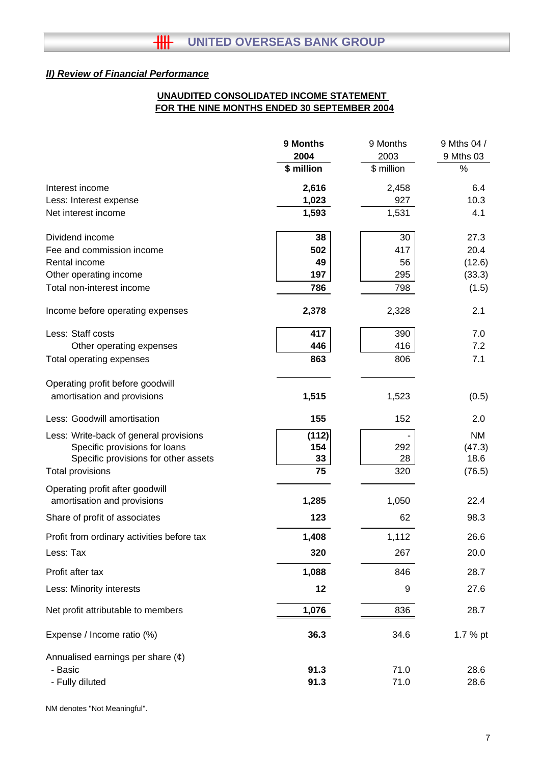# **FOR THE NINE MONTHS ENDED 30 SEPTEMBER 2004 UNAUDITED CONSOLIDATED INCOME STATEMENT**

|                                                                | 9 Months   | 9 Months   | 9 Mths 04 /    |
|----------------------------------------------------------------|------------|------------|----------------|
|                                                                | 2004       | 2003       | 9 Mths 03      |
|                                                                | \$ million | \$ million | $\%$           |
| Interest income                                                | 2,616      | 2,458      | 6.4            |
| Less: Interest expense                                         | 1,023      | 927        | 10.3           |
| Net interest income                                            | 1,593      | 1,531      | 4.1            |
| Dividend income                                                | 38         | 30         | 27.3           |
| Fee and commission income                                      | 502        | 417        | 20.4           |
| Rental income                                                  | 49         | 56         | (12.6)         |
| Other operating income                                         | 197        | 295        | (33.3)         |
| Total non-interest income                                      | 786        | 798        | (1.5)          |
| Income before operating expenses                               | 2,378      | 2,328      | 2.1            |
| Less: Staff costs                                              | 417        | 390        | 7.0            |
| Other operating expenses                                       | 446        | 416        | 7.2            |
| Total operating expenses                                       | 863        | 806        | 7.1            |
| Operating profit before goodwill                               |            |            |                |
| amortisation and provisions                                    | 1,515      | 1,523      | (0.5)          |
| Less: Goodwill amortisation                                    | 155        | 152        | 2.0            |
| Less: Write-back of general provisions                         | (112)      |            | <b>NM</b>      |
| Specific provisions for loans                                  | 154        | 292        | (47.3)         |
| Specific provisions for other assets<br>Total provisions       | 33<br>75   | 28<br>320  | 18.6<br>(76.5) |
|                                                                |            |            |                |
| Operating profit after goodwill<br>amortisation and provisions | 1,285      | 1,050      | 22.4           |
| Share of profit of associates                                  | 123        | 62         | 98.3           |
| Profit from ordinary activities before tax                     | 1,408      | 1,112      | 26.6           |
| Less: Tax                                                      | 320        | 267        | 20.0           |
| Profit after tax                                               | 1,088      | 846        | 28.7           |
| Less: Minority interests                                       | 12         | 9          | 27.6           |
| Net profit attributable to members                             | 1,076      | 836        | 28.7           |
| Expense / Income ratio (%)                                     | 36.3       | 34.6       | 1.7 % pt       |
| Annualised earnings per share $(e)$                            |            |            |                |
| - Basic                                                        | 91.3       | 71.0       | 28.6           |
| - Fully diluted                                                | 91.3       | 71.0       | 28.6           |

NM denotes "Not Meaningful".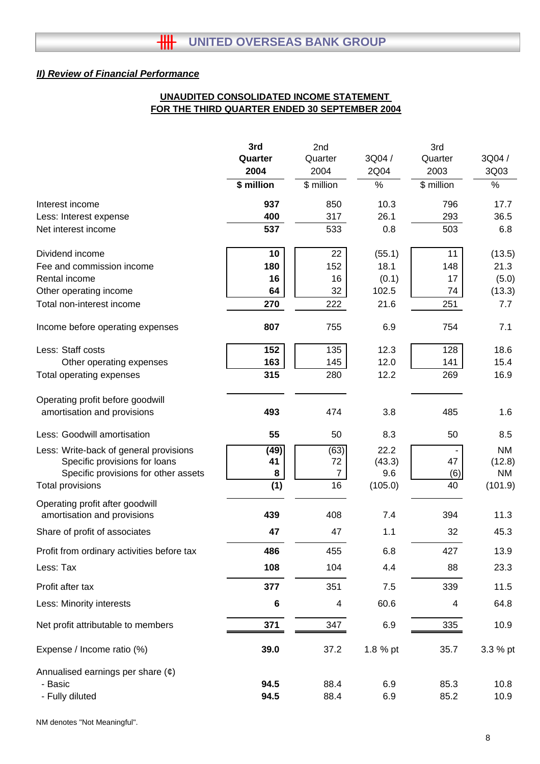# **UNAUDITED CONSOLIDATED INCOME STATEMENT FOR THE THIRD QUARTER ENDED 30 SEPTEMBER 2004**

|                                                                | 3rd        | 2nd            |          | 3rd        |           |
|----------------------------------------------------------------|------------|----------------|----------|------------|-----------|
|                                                                | Quarter    | Quarter        | 3Q04/    | Quarter    | 3Q04 /    |
|                                                                | 2004       | 2004           | 2Q04     | 2003       | 3Q03      |
|                                                                | \$ million | \$ million     | %        | \$ million | $\%$      |
| Interest income                                                | 937        | 850            | 10.3     | 796        | 17.7      |
| Less: Interest expense                                         | 400        | 317            | 26.1     | 293        | 36.5      |
| Net interest income                                            | 537        | 533            | 0.8      | 503        | 6.8       |
| Dividend income                                                | 10         | 22             | (55.1)   | 11         | (13.5)    |
| Fee and commission income                                      | 180        | 152            | 18.1     | 148        | 21.3      |
| Rental income                                                  | 16         | 16             | (0.1)    | 17         | (5.0)     |
| Other operating income                                         | 64         | 32             | 102.5    | 74         | (13.3)    |
| Total non-interest income                                      | 270        | 222            | 21.6     | 251        | 7.7       |
| Income before operating expenses                               | 807        | 755            | 6.9      | 754        | 7.1       |
| Less: Staff costs                                              | 152        | 135            | 12.3     | 128        | 18.6      |
| Other operating expenses                                       | 163        | 145            | 12.0     | 141        | 15.4      |
| Total operating expenses                                       | 315        | 280            | 12.2     | 269        | 16.9      |
| Operating profit before goodwill                               |            |                |          |            |           |
| amortisation and provisions                                    | 493        | 474            | 3.8      | 485        | 1.6       |
| Less: Goodwill amortisation                                    | 55         | 50             | 8.3      | 50         | 8.5       |
| Less: Write-back of general provisions                         | (49)       | (63)           | 22.2     |            | <b>NM</b> |
| Specific provisions for loans                                  | 41         | 72             | (43.3)   | 47         | (12.8)    |
| Specific provisions for other assets                           | 8          | $\overline{7}$ | 9.6      | (6)        | <b>NM</b> |
| <b>Total provisions</b>                                        | (1)        | 16             | (105.0)  | 40         | (101.9)   |
| Operating profit after goodwill<br>amortisation and provisions | 439        | 408            | 7.4      | 394        | 11.3      |
| Share of profit of associates                                  | 47         | 47             | 1.1      | 32         | 45.3      |
|                                                                |            |                |          |            |           |
| Profit from ordinary activities before tax                     | 486        | 455            | 6.8      | 427        | 13.9      |
| Less: Tax                                                      | 108        | 104            | 4.4      | 88         | 23.3      |
| Profit after tax                                               | 377        | 351            | 7.5      | 339        | 11.5      |
| Less: Minority interests                                       | 6          | 4              | 60.6     | 4          | 64.8      |
| Net profit attributable to members                             | 371        | 347            | 6.9      | 335        | 10.9      |
| Expense / Income ratio (%)                                     | 39.0       | 37.2           | 1.8 % pt | 35.7       | 3.3 % pt  |
| Annualised earnings per share $(\phi)$                         |            |                |          |            |           |
| - Basic                                                        | 94.5       | 88.4           | 6.9      | 85.3       | 10.8      |
| - Fully diluted                                                | 94.5       | 88.4           | 6.9      | 85.2       | 10.9      |

NM denotes "Not Meaningful".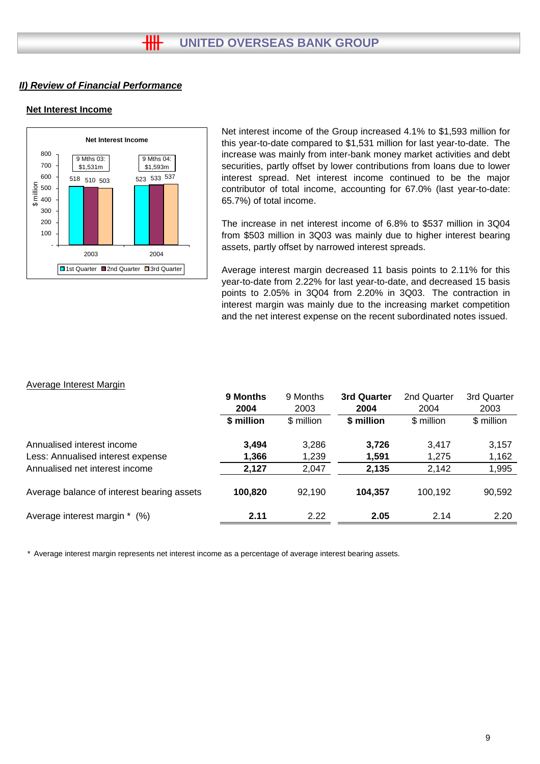## **Net Interest Income**



#### Average Interest Margin

| Net Interest Income<br>800<br>9 Mths 04:<br>9 Mths 03:<br>700<br>\$1,531m<br>\$1,593m<br>600<br>523 533 537<br>518 510 503<br>$\frac{15}{15}$ 500<br>$\frac{15}{15}$ 400<br>↮<br>300<br>200<br>100<br>2003<br>2004<br>□1st Quarter ■2nd Quarter □3rd Quarter | Net interest income of the Group increased 4.1% to \$1,593 million for<br>this year-to-date compared to \$1,531 million for last year-to-date. The<br>increase was mainly from inter-bank money market activities and debt<br>securities, partly offset by lower contributions from loans due to lower<br>interest spread. Net interest income continued to be the major<br>contributor of total income, accounting for 67.0% (last year-to-date:<br>65.7%) of total income.<br>The increase in net interest income of 6.8% to \$537 million in 3Q04<br>from \$503 million in 3Q03 was mainly due to higher interest bearing<br>assets, partly offset by narrowed interest spreads.<br>Average interest margin decreased 11 basis points to 2.11% for this<br>year-to-date from 2.22% for last year-to-date, and decreased 15 basis<br>points to 2.05% in 3Q04 from 2.20% in 3Q03. The contraction in<br>interest margin was mainly due to the increasing market competition<br>and the net interest expense on the recent subordinated notes issued. |                         |                         |                         |                         |  |  |
|--------------------------------------------------------------------------------------------------------------------------------------------------------------------------------------------------------------------------------------------------------------|-------------------------------------------------------------------------------------------------------------------------------------------------------------------------------------------------------------------------------------------------------------------------------------------------------------------------------------------------------------------------------------------------------------------------------------------------------------------------------------------------------------------------------------------------------------------------------------------------------------------------------------------------------------------------------------------------------------------------------------------------------------------------------------------------------------------------------------------------------------------------------------------------------------------------------------------------------------------------------------------------------------------------------------------------------|-------------------------|-------------------------|-------------------------|-------------------------|--|--|
| <b>Average Interest Margin</b>                                                                                                                                                                                                                               | 9 Months<br>2004                                                                                                                                                                                                                                                                                                                                                                                                                                                                                                                                                                                                                                                                                                                                                                                                                                                                                                                                                                                                                                      | 9 Months<br>2003        | 3rd Quarter<br>2004     | 2nd Quarter<br>2004     | 3rd Quarter<br>2003     |  |  |
|                                                                                                                                                                                                                                                              | \$ million                                                                                                                                                                                                                                                                                                                                                                                                                                                                                                                                                                                                                                                                                                                                                                                                                                                                                                                                                                                                                                            | \$ million              | \$ million              | \$ million              | \$ million              |  |  |
| Annualised interest income<br>Less: Annualised interest expense<br>Annualised net interest income                                                                                                                                                            | 3,494<br>1,366<br>2,127                                                                                                                                                                                                                                                                                                                                                                                                                                                                                                                                                                                                                                                                                                                                                                                                                                                                                                                                                                                                                               | 3,286<br>1,239<br>2,047 | 3,726<br>1,591<br>2,135 | 3,417<br>1,275<br>2,142 | 3,157<br>1,162<br>1,995 |  |  |
|                                                                                                                                                                                                                                                              |                                                                                                                                                                                                                                                                                                                                                                                                                                                                                                                                                                                                                                                                                                                                                                                                                                                                                                                                                                                                                                                       |                         |                         |                         |                         |  |  |
| Average balance of interest bearing assets                                                                                                                                                                                                                   | 100,820                                                                                                                                                                                                                                                                                                                                                                                                                                                                                                                                                                                                                                                                                                                                                                                                                                                                                                                                                                                                                                               | 92,190                  | 104,357                 | 100,192                 | 90,592                  |  |  |
| Average interest margin * (%)                                                                                                                                                                                                                                | 2.11                                                                                                                                                                                                                                                                                                                                                                                                                                                                                                                                                                                                                                                                                                                                                                                                                                                                                                                                                                                                                                                  | 2.22                    | 2.05                    | 2.14                    | 2.20                    |  |  |
| * Average interest margin represents net interest income as a percentage of average interest bearing assets.                                                                                                                                                 |                                                                                                                                                                                                                                                                                                                                                                                                                                                                                                                                                                                                                                                                                                                                                                                                                                                                                                                                                                                                                                                       |                         |                         |                         |                         |  |  |
|                                                                                                                                                                                                                                                              |                                                                                                                                                                                                                                                                                                                                                                                                                                                                                                                                                                                                                                                                                                                                                                                                                                                                                                                                                                                                                                                       |                         |                         |                         | 9                       |  |  |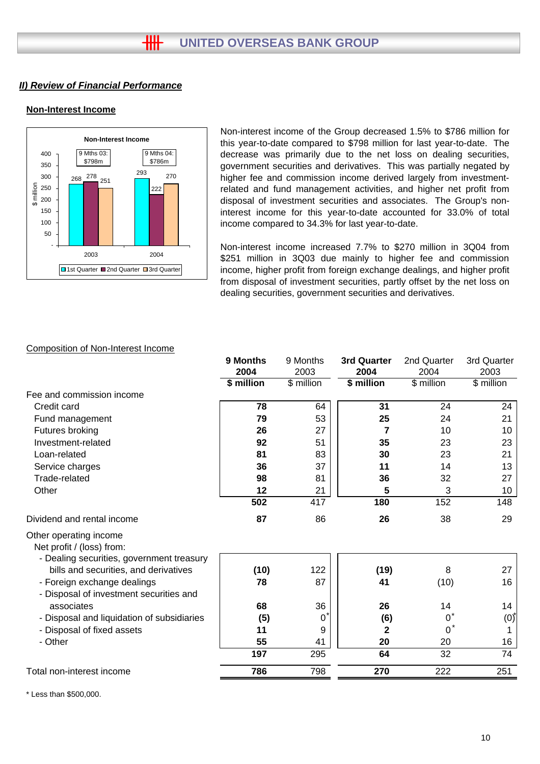# **Non-Interest Income**



Non-interest income of the Group decreased 1.5% to \$786 million for this year-to-date compared to \$798 million for last year-to-date. The decrease was primarily due to the net loss on dealing securities, government securities and derivatives. This was partially negated by higher fee and commission income derived largely from investmentrelated and fund management activities, and higher net profit from disposal of investment securities and associates. The Group's noninterest income for this year-to-date accounted for 33.0% of total income compared to 34.3% for last year-to-date.

Non-interest income increased 7.7% to \$270 million in 3Q04 from \$251 million in 3Q03 due mainly to higher fee and commission income, higher profit from foreign exchange dealings, and higher profit from disposal of investment securities, partly offset by the net loss on dealing securities, government securities and derivatives.

| 9 Months   | 9 Months   | 3rd Quarter | 2nd Quarter | 3rd Quarter |
|------------|------------|-------------|-------------|-------------|
| 2004       | 2003       | 2004        | 2004        | 2003        |
| \$ million | \$ million | \$ million  | \$ million  | \$ million  |
|            |            |             |             |             |
| 78         | 64         | 31          | 24          | 24          |
| 79         | 53         | 25          | 24          | 21          |
| 26         | 27         | 7           | 10          | 10          |
| 92         | 51         | 35          | 23          | 23          |
| 81         | 83         | 30          | 23          | 21          |
| 36         | 37         | 11          | 14          | 13          |
| 98         | 81         | 36          | 32          | 27          |
| 12         | 21         | 5           | 3           | 10          |
| 502        | 417        | 180         | 152         | 148         |
| 87         | 86         | 26          | 38          | 29          |
|            |            |             |             |             |
| (10)       | 122        | (19)        | 8           | 27          |
| 78         | 87         | 41          | (10)        | 16          |
| 68         | 36         | 26          | 14          | 14          |
|            | 0          |             | $0^*$       | (0)         |
| 11         | 9          | 2           | $0^*$       | 1           |
| 55         |            | 20          |             | 16          |
| 197        | 295        | 64          | 32          | 74          |
| 786        | 798        | 270         | 222         | 251         |
|            | (5)        | 41          | (6)         | 20          |

Composition of Non-Interest Income

\* Less than \$500,000.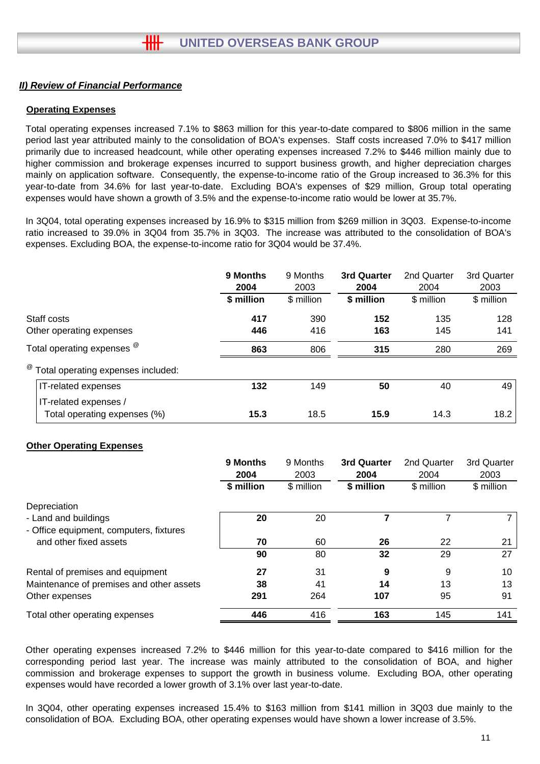## **Operating Expenses**

Total operating expenses increased 7.1% to \$863 million for this year-to-date compared to \$806 million in the same period last year attributed mainly to the consolidation of BOA's expenses. Staff costs increased 7.0% to \$417 million primarily due to increased headcount, while other operating expenses increased 7.2% to \$446 million mainly due to higher commission and brokerage expenses incurred to support business growth, and higher depreciation charges mainly on application software. Consequently, the expense-to-income ratio of the Group increased to 36.3% for this year-to-date from 34.6% for last year-to-date. Excluding BOA's expenses of \$29 million, Group total operating expenses would have shown a growth of 3.5% and the expense-to-income ratio would be lower at 35.7%.

In 3Q04, total operating expenses increased by 16.9% to \$315 million from \$269 million in 3Q03. Expense-to-income ratio increased to 39.0% in 3Q04 from 35.7% in 3Q03. The increase was attributed to the consolidation of BOA's expenses. Excluding BOA, the expense-to-income ratio for 3Q04 would be 37.4%.

|                                                 | 9 Months<br>2004 | 9 Months<br>2003 | 3rd Quarter<br>2004 | 2nd Quarter<br>2004 | 3rd Quarter<br>2003 |
|-------------------------------------------------|------------------|------------------|---------------------|---------------------|---------------------|
|                                                 | \$ million       | \$ million       | \$ million          | \$ million          | \$ million          |
| Staff costs                                     | 417              | 390              | 152                 | 135                 | 128                 |
| Other operating expenses                        | 446              | 416              | 163                 | 145                 | 141                 |
| Total operating expenses <sup>@</sup>           | 863              | 806              | 315                 | 280                 | 269                 |
| <sup>@</sup> Total operating expenses included: |                  |                  |                     |                     |                     |
| IT-related expenses                             | 132              | 149              | 50                  | 40                  | 49                  |
| IT-related expenses /                           |                  |                  | 15.9                |                     |                     |
| Total operating expenses (%)                    | 15.3             | 18.5             |                     | 14.3                | 18.2                |

## **Other Operating Expenses**

|                                          | 9 Months   | 9 Months   | <b>3rd Quarter</b> | 2nd Quarter | 3rd Quarter |
|------------------------------------------|------------|------------|--------------------|-------------|-------------|
|                                          | 2004       | 2003       | 2004               | 2004        | 2003        |
|                                          | \$ million | \$ million | \$ million         | \$ million  | \$ million  |
| Depreciation                             |            |            |                    |             |             |
| - Land and buildings                     | 20         | 20         |                    |             |             |
| - Office equipment, computers, fixtures  |            |            |                    |             |             |
| and other fixed assets                   | 70         | 60         | 26                 | 22          | 21          |
|                                          | 90         | 80         | 32                 | 29          | 27          |
| Rental of premises and equipment         | 27         | 31         | 9                  | 9           | 10          |
| Maintenance of premises and other assets | 38         | 41         | 14                 | 13          | 13          |
| Other expenses                           | 291        | 264        | 107                | 95          | 91          |
| Total other operating expenses           | 446        | 416        | 163                | 145         | 141         |

Other operating expenses increased 7.2% to \$446 million for this year-to-date compared to \$416 million for the corresponding period last year. The increase was mainly attributed to the consolidation of BOA, and higher commission and brokerage expenses to support the growth in business volume. Excluding BOA, other operating expenses would have recorded a lower growth of 3.1% over last year-to-date.

In 3Q04, other operating expenses increased 15.4% to \$163 million from \$141 million in 3Q03 due mainly to the consolidation of BOA. Excluding BOA, other operating expenses would have shown a lower increase of 3.5%.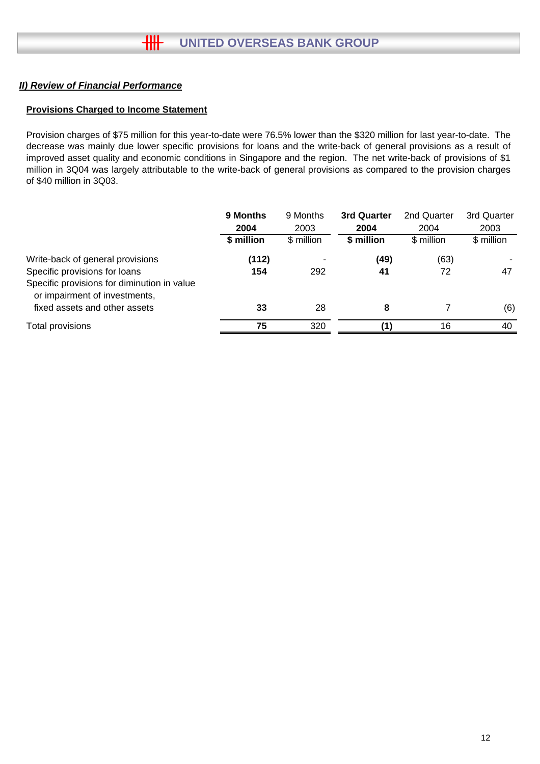## **Provisions Charged to Income Statement**

Provision charges of \$75 million for this year-to-date were 76.5% lower than the \$320 million for last year-to-date. The decrease was mainly due lower specific provisions for loans and the write-back of general provisions as a result of improved asset quality and economic conditions in Singapore and the region. The net write-back of provisions of \$1 million in 3Q04 was largely attributable to the write-back of general provisions as compared to the provision charges of \$40 million in 3Q03.

|                                                                                                               | 9 Months<br>2004<br>\$ million | 9 Months<br>2003<br>\$ million | 3rd Quarter<br>2004<br>\$ million | 2nd Quarter<br>2004<br>\$ million | 3rd Quarter<br>2003<br>\$ million |
|---------------------------------------------------------------------------------------------------------------|--------------------------------|--------------------------------|-----------------------------------|-----------------------------------|-----------------------------------|
| Write-back of general provisions<br>Specific provisions for loans                                             | (112)<br>154                   | 292                            | (49)<br>41                        | (63)<br>72                        | 47                                |
| Specific provisions for diminution in value<br>or impairment of investments,<br>fixed assets and other assets | 33                             | 28                             | 8                                 |                                   | (6)                               |
| Total provisions                                                                                              | 75                             | 320                            |                                   | 16                                | 40                                |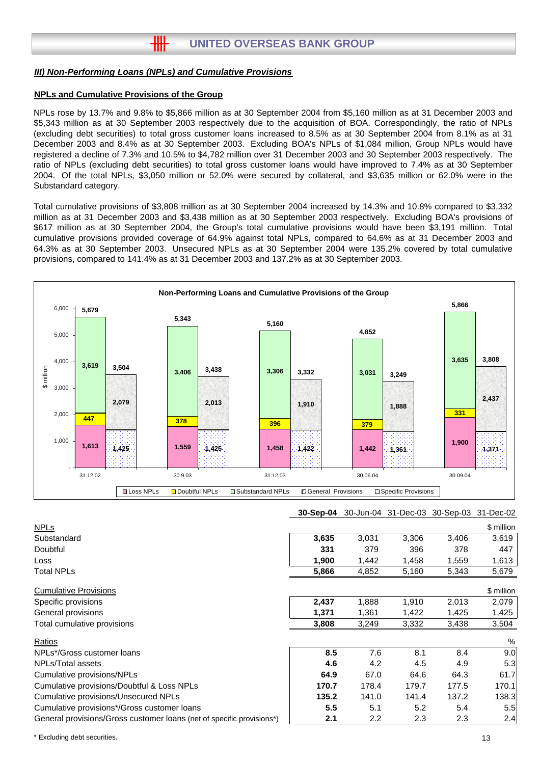#### *III) Non-Performing Loans (NPLs) and Cumulative Provisions*

卌

## **NPLs and Cumulative Provisions of the Group**

NPLs rose by 13.7% and 9.8% to \$5,866 million as at 30 September 2004 from \$5,160 million as at 31 December 2003 and \$5,343 million as at 30 September 2003 respectively due to the acquisition of BOA. Correspondingly, the ratio of NPLs (excluding debt securities) to total gross customer loans increased to 8.5% as at 30 September 2004 from 8.1% as at 31 December 2003 and 8.4% as at 30 September 2003. Excluding BOA's NPLs of \$1,084 million, Group NPLs would have registered a decline of 7.3% and 10.5% to \$4,782 million over 31 December 2003 and 30 September 2003 respectively. The ratio of NPLs (excluding debt securities) to total gross customer loans would have improved to 7.4% as at 30 September 2004. Of the total NPLs, \$3,050 million or 52.0% were secured by collateral, and \$3,635 million or 62.0% were in the Substandard category.

Total cumulative provisions of \$3,808 million as at 30 September 2004 increased by 14.3% and 10.8% compared to \$3,332 million as at 31 December 2003 and \$3,438 million as at 30 September 2003 respectively. Excluding BOA's provisions of \$617 million as at 30 September 2004, the Group's total cumulative provisions would have been \$3,191 million. Total cumulative provisions provided coverage of 64.9% against total NPLs, compared to 64.6% as at 31 December 2003 and 64.3% as at 30 September 2003. Unsecured NPLs as at 30 September 2004 were 135.2% covered by total cumulative provisions, compared to 141.4% as at 31 December 2003 and 137.2% as at 30 September 2003.



| <b>NPLs</b>                                                           |       |                  |       |       | \$ million |
|-----------------------------------------------------------------------|-------|------------------|-------|-------|------------|
| Substandard                                                           | 3,635 | 3,031            | 3,306 | 3,406 | 3,619      |
| Doubtful                                                              | 331   | 379              | 396   | 378   | 447        |
| Loss                                                                  | 1,900 | 1,442            | 1,458 | 1,559 | 1,613      |
| <b>Total NPLs</b>                                                     | 5,866 | 4,852            | 5,160 | 5,343 | 5,679      |
| <b>Cumulative Provisions</b>                                          |       |                  |       |       | \$ million |
| Specific provisions                                                   | 2,437 | 1,888            | 1,910 | 2,013 | 2,079      |
| General provisions                                                    | 1,371 | 1,361            | 1,422 | 1,425 | 1,425      |
| Total cumulative provisions                                           | 3,808 | 3,249            | 3,332 | 3,438 | 3,504      |
| Ratios                                                                |       |                  |       |       | %          |
| NPLs*/Gross customer loans                                            | 8.5   | 7.6              | 8.1   | 8.4   | 9.0        |
| NPLs/Total assets                                                     | 4.6   | 4.2              | 4.5   | 4.9   | 5.3        |
| Cumulative provisions/NPLs                                            | 64.9  | 67.0             | 64.6  | 64.3  | 61.7       |
| Cumulative provisions/Doubtful & Loss NPLs                            | 170.7 | 178.4            | 179.7 | 177.5 | 170.1      |
| Cumulative provisions/Unsecured NPLs                                  | 135.2 | 141.0            | 141.4 | 137.2 | 138.3      |
| Cumulative provisions*/Gross customer loans                           | 5.5   | 5.1              | 5.2   | 5.4   | 5.5        |
| General provisions/Gross customer loans (net of specific provisions*) | 2.1   | $2.2\phantom{0}$ | 2.3   | 2.3   | 2.4        |

\* Excluding debt securities.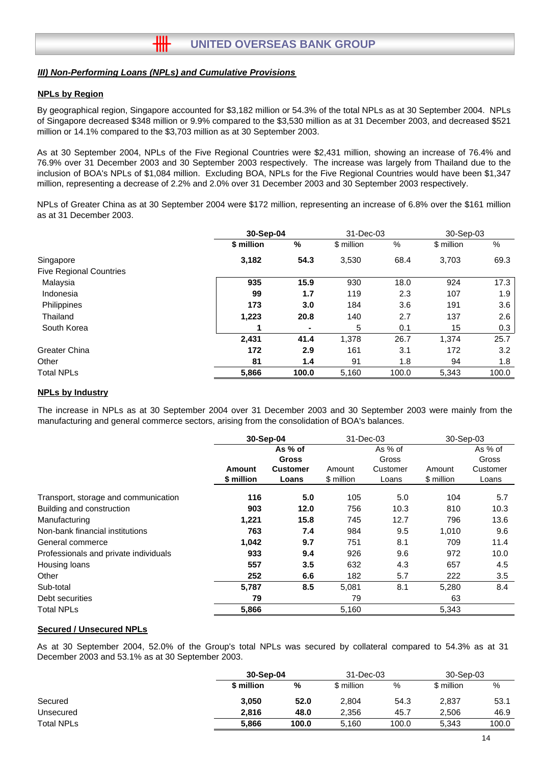#### *III) Non-Performing Loans (NPLs) and Cumulative Provisions*

卌

#### **NPLs by Region**

By geographical region, Singapore accounted for \$3,182 million or 54.3% of the total NPLs as at 30 September 2004. NPLs of Singapore decreased \$348 million or 9.9% compared to the \$3,530 million as at 31 December 2003, and decreased \$521 million or 14.1% compared to the \$3,703 million as at 30 September 2003.

As at 30 September 2004, NPLs of the Five Regional Countries were \$2,431 million, showing an increase of 76.4% and 76.9% over 31 December 2003 and 30 September 2003 respectively. The increase was largely from Thailand due to the inclusion of BOA's NPLs of \$1,084 million. Excluding BOA, NPLs for the Five Regional Countries would have been \$1,347 million, representing a decrease of 2.2% and 2.0% over 31 December 2003 and 30 September 2003 respectively.

NPLs of Greater China as at 30 September 2004 were \$172 million, representing an increase of 6.8% over the \$161 million as at 31 December 2003.

|                                | 30-Sep-04  |                | 31-Dec-03  |       | 30-Sep-03  |         |
|--------------------------------|------------|----------------|------------|-------|------------|---------|
|                                | \$ million | $\frac{0}{0}$  | \$ million | $\%$  | \$ million | %       |
| Singapore                      | 3,182      | 54.3           | 3,530      | 68.4  | 3.703      | 69.3    |
| <b>Five Regional Countries</b> |            |                |            |       |            |         |
| Malaysia                       | 935        | 15.9           | 930        | 18.0  | 924        | 17.3    |
| Indonesia                      | 99         | 1.7            | 119        | 2.3   | 107        | 1.9     |
| Philippines                    | 173        | 3.0            | 184        | 3.6   | 191        | 3.6     |
| Thailand                       | 1,223      | 20.8           | 140        | 2.7   | 137        | $2.6\,$ |
| South Korea                    |            | $\blacksquare$ | 5          | 0.1   | 15         | 0.3     |
|                                | 2,431      | 41.4           | 1,378      | 26.7  | 1,374      | 25.7    |
| Greater China                  | 172        | 2.9            | 161        | 3.1   | 172        | 3.2     |
| Other                          | 81         | 1.4            | 91         | 1.8   | 94         | 1.8     |
| <b>Total NPLs</b>              | 5,866      | 100.0          | 5,160      | 100.0 | 5,343      | 100.0   |

#### **NPLs by Industry**

The increase in NPLs as at 30 September 2004 over 31 December 2003 and 30 September 2003 were mainly from the manufacturing and general commerce sectors, arising from the consolidation of BOA's balances.

|                                       | 30-Sep-04            |                          | 31-Dec-03            |                   | 30-Sep-03            |                   |
|---------------------------------------|----------------------|--------------------------|----------------------|-------------------|----------------------|-------------------|
|                                       |                      | As % of<br><b>Gross</b>  |                      | As % of<br>Gross  |                      | As % of<br>Gross  |
|                                       | Amount<br>\$ million | <b>Customer</b><br>Loans | Amount<br>\$ million | Customer<br>Loans | Amount<br>\$ million | Customer<br>Loans |
| Transport, storage and communication  | 116                  | 5.0                      | 105                  | 5.0               | 104                  | 5.7               |
| Building and construction             | 903                  | 12.0                     | 756                  | 10.3              | 810                  | 10.3              |
| Manufacturing                         | 1,221                | 15.8                     | 745                  | 12.7              | 796                  | 13.6              |
| Non-bank financial institutions       | 763                  | 7.4                      | 984                  | 9.5               | 1,010                | 9.6               |
| General commerce                      | 1,042                | 9.7                      | 751                  | 8.1               | 709                  | 11.4              |
| Professionals and private individuals | 933                  | 9.4                      | 926                  | 9.6               | 972                  | 10.0              |
| Housing loans                         | 557                  | 3.5                      | 632                  | 4.3               | 657                  | 4.5               |
| Other                                 | 252                  | 6.6                      | 182                  | 5.7               | 222                  | 3.5               |
| Sub-total                             | 5,787                | 8.5                      | 5,081                | 8.1               | 5,280                | 8.4               |
| Debt securities                       | 79                   |                          | 79                   |                   | 63                   |                   |
| <b>Total NPLs</b>                     | 5,866                |                          | 5,160                |                   | 5,343                |                   |

#### **Secured / Unsecured NPLs**

As at 30 September 2004, 52.0% of the Group's total NPLs was secured by collateral compared to 54.3% as at 31 December 2003 and 53.1% as at 30 September 2003.

|                   | 30-Sep-04  |       | 31-Dec-03  |       | 30-Sep-03  |       |
|-------------------|------------|-------|------------|-------|------------|-------|
|                   | \$ million | %     | \$ million | %     | \$ million | %     |
| Secured           | 3,050      | 52.0  | 2,804      | 54.3  | 2.837      | 53.1  |
| Unsecured         | 2.816      | 48.0  | 2,356      | 45.7  | 2.506      | 46.9  |
| <b>Total NPLs</b> | 5.866      | 100.0 | 5.160      | 100.0 | 5.343      | 100.0 |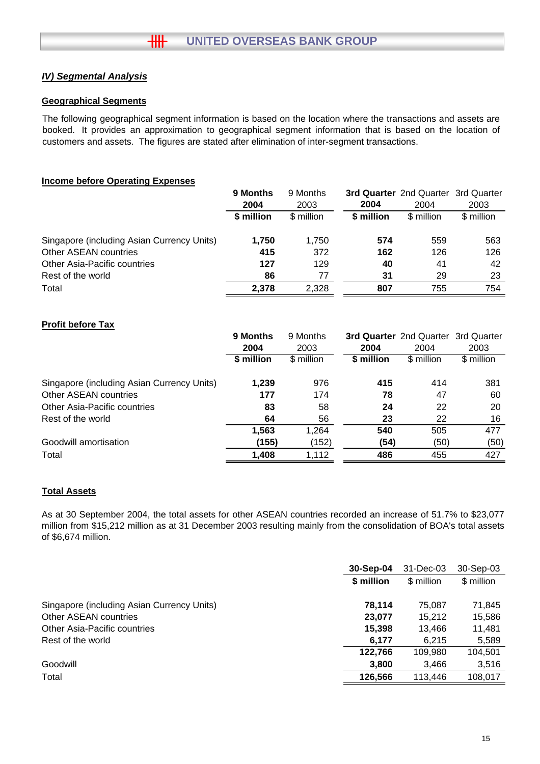# *IV) Segmental Analysis*

## **Geographical Segments**

The following geographical segment information is based on the location where the transactions and assets are booked. It provides an approximation to geographical segment information that is based on the location of customers and assets. The figures are stated after elimination of inter-segment transactions.

## **Income before Operating Expenses**

|                                            | 9 Months   | 9 Months   |            | 3rd Quarter 2nd Quarter 3rd Quarter |            |
|--------------------------------------------|------------|------------|------------|-------------------------------------|------------|
|                                            | 2004       | 2003       | 2004       | 2004                                | 2003       |
|                                            | \$ million | \$ million | \$ million | \$ million                          | \$ million |
| Singapore (including Asian Currency Units) | 1.750      | 1.750      | 574        | 559                                 | 563        |
| Other ASEAN countries                      | 415        | 372        | 162        | 126                                 | 126        |
| <b>Other Asia-Pacific countries</b>        | 127        | 129        | 40         | 41                                  | 42         |
| Rest of the world                          | 86         | 77         | 31         | 29                                  | 23         |
| Total                                      | 2.378      | 2.328      | 807        | 755                                 | 754        |

## **Profit before Tax**

|                                            | 9 Months   | 9 Months   |            | 3rd Quarter 2nd Quarter 3rd Quarter |            |
|--------------------------------------------|------------|------------|------------|-------------------------------------|------------|
|                                            | 2004       | 2003       | 2004       | 2004                                | 2003       |
|                                            | \$ million | \$ million | \$ million | \$ million                          | \$ million |
| Singapore (including Asian Currency Units) | 1,239      | 976        | 415        | 414                                 | 381        |
| Other ASEAN countries                      | 177        | 174        | 78         | 47                                  | 60         |
| Other Asia-Pacific countries               | 83         | 58         | 24         | 22                                  | 20         |
| Rest of the world                          | 64         | 56         | 23         | 22                                  | 16         |
|                                            | 1,563      | 1,264      | 540        | 505                                 | 477        |
| Goodwill amortisation                      | (155)      | (152)      | (54)       | (50)                                | (50)       |
| Total                                      | 1,408      | 1,112      | 486        | 455                                 | 427        |

## **Total Assets**

As at 30 September 2004, the total assets for other ASEAN countries recorded an increase of 51.7% to \$23,077 million from \$15,212 million as at 31 December 2003 resulting mainly from the consolidation of BOA's total assets of \$6,674 million.

|                                            | 30-Sep-04  | 31-Dec-03  | 30-Sep-03  |
|--------------------------------------------|------------|------------|------------|
|                                            | \$ million | \$ million | \$ million |
| Singapore (including Asian Currency Units) | 78.114     | 75.087     | 71,845     |
| Other ASEAN countries                      | 23,077     | 15.212     | 15,586     |
| Other Asia-Pacific countries               | 15,398     | 13.466     | 11,481     |
| Rest of the world                          | 6,177      | 6,215      | 5,589      |
|                                            | 122,766    | 109,980    | 104,501    |
| Goodwill                                   | 3,800      | 3,466      | 3,516      |
| Total                                      | 126,566    | 113.446    | 108,017    |
|                                            |            |            |            |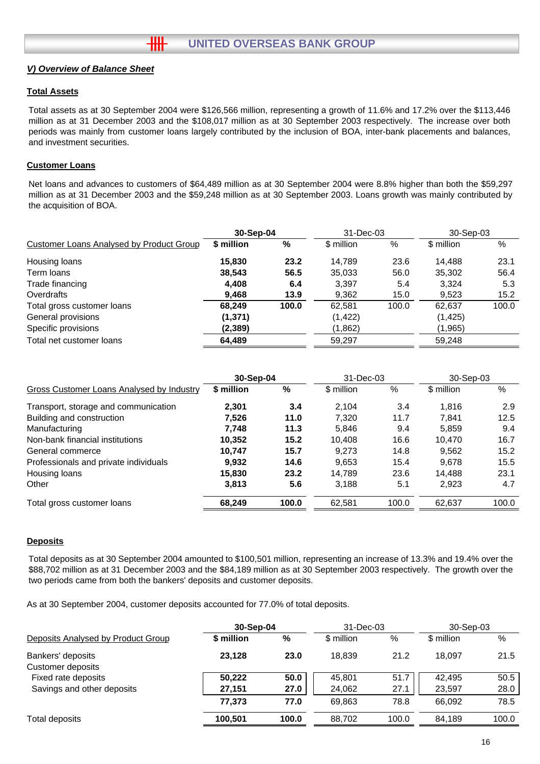╫╫

## **Total Assets**

Total assets as at 30 September 2004 were \$126,566 million, representing a growth of 11.6% and 17.2% over the \$113,446 million as at 31 December 2003 and the \$108,017 million as at 30 September 2003 respectively. The increase over both periods was mainly from customer loans largely contributed by the inclusion of BOA, inter-bank placements and balances, and investment securities.

## **Customer Loans**

Net loans and advances to customers of \$64,489 million as at 30 September 2004 were 8.8% higher than both the \$59,297 million as at 31 December 2003 and the \$59,248 million as at 30 September 2003. Loans growth was mainly contributed by the acquisition of BOA.

|                                                 | 30-Sep-04  |       | 31-Dec-03  |       | 30-Sep-03  |       |
|-------------------------------------------------|------------|-------|------------|-------|------------|-------|
| <b>Customer Loans Analysed by Product Group</b> | \$ million | %     | \$ million | %     | \$ million | %     |
| Housing loans                                   | 15,830     | 23.2  | 14.789     | 23.6  | 14.488     | 23.1  |
| Term loans                                      | 38,543     | 56.5  | 35,033     | 56.0  | 35,302     | 56.4  |
| Trade financing                                 | 4,408      | 6.4   | 3,397      | 5.4   | 3.324      | 5.3   |
| Overdrafts                                      | 9,468      | 13.9  | 9,362      | 15.0  | 9,523      | 15.2  |
| Total gross customer loans                      | 68.249     | 100.0 | 62,581     | 100.0 | 62,637     | 100.0 |
| General provisions                              | (1, 371)   |       | (1, 422)   |       | (1, 425)   |       |
| Specific provisions                             | (2,389)    |       | (1,862)    |       | (1, 965)   |       |
| Total net customer loans                        | 64,489     |       | 59.297     |       | 59.248     |       |

|                                           | 30-Sep-04  |       | 31-Dec-03  |       | 30-Sep-03  |       |
|-------------------------------------------|------------|-------|------------|-------|------------|-------|
| Gross Customer Loans Analysed by Industry | \$ million | %     | \$ million | %     | \$ million | %     |
| Transport, storage and communication      | 2.301      | 3.4   | 2.104      | 3.4   | 1.816      | 2.9   |
| Building and construction                 | 7.526      | 11.0  | 7.320      | 11.7  | 7.841      | 12.5  |
| Manufacturing                             | 7.748      | 11.3  | 5,846      | 9.4   | 5.859      | 9.4   |
| Non-bank financial institutions           | 10.352     | 15.2  | 10.408     | 16.6  | 10.470     | 16.7  |
| General commerce                          | 10.747     | 15.7  | 9.273      | 14.8  | 9.562      | 15.2  |
| Professionals and private individuals     | 9,932      | 14.6  | 9,653      | 15.4  | 9.678      | 15.5  |
| Housing loans                             | 15,830     | 23.2  | 14.789     | 23.6  | 14,488     | 23.1  |
| Other                                     | 3,813      | 5.6   | 3,188      | 5.1   | 2,923      | 4.7   |
| Total gross customer loans                | 68,249     | 100.0 | 62,581     | 100.0 | 62,637     | 100.0 |

#### **Deposits**

Total deposits as at 30 September 2004 amounted to \$100,501 million, representing an increase of 13.3% and 19.4% over the \$88,702 million as at 31 December 2003 and the \$84,189 million as at 30 September 2003 respectively. The growth over the two periods came from both the bankers' deposits and customer deposits.

As at 30 September 2004, customer deposits accounted for 77.0% of total deposits.

|                                        | 30-Sep-04  |       | $31 - Dec-03$ |       | 30-Sep-03  |       |
|----------------------------------------|------------|-------|---------------|-------|------------|-------|
| Deposits Analysed by Product Group     | \$ million | %     | \$ million    | $\%$  | \$ million | %     |
| Bankers' deposits<br>Customer deposits | 23.128     | 23.0  | 18.839        | 21.2  | 18.097     | 21.5  |
| Fixed rate deposits                    | 50.222     | 50.0  | 45.801        | 51.7  | 42.495     | 50.5  |
| Savings and other deposits             | 27,151     | 27.0  | 24,062        | 27.1  | 23,597     | 28.0  |
|                                        | 77.373     | 77.0  | 69.863        | 78.8  | 66.092     | 78.5  |
| Total deposits                         | 100,501    | 100.0 | 88.702        | 100.0 | 84.189     | 100.0 |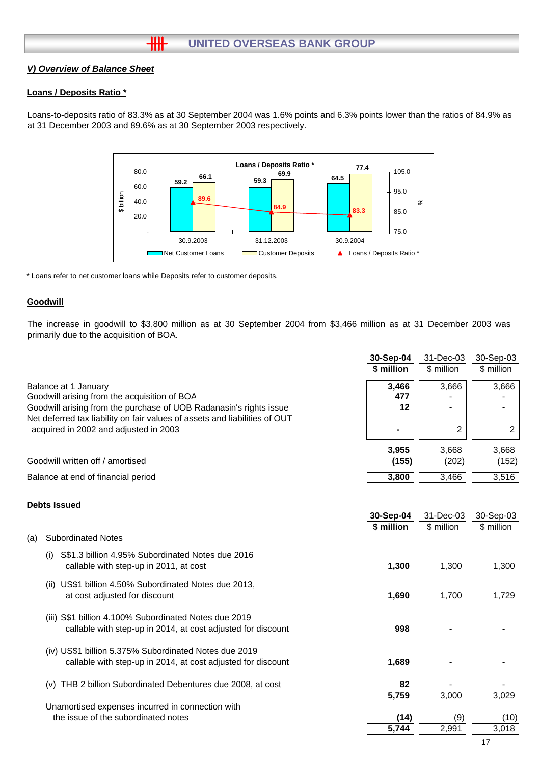#### **Loans / Deposits Ratio \***

Loans-to-deposits ratio of 83.3% as at 30 September 2004 was 1.6% points and 6.3% points lower than the ratios of 84.9% as at 31 December 2003 and 89.6% as at 30 September 2003 respectively.



\* Loans refer to net customer loans while Deposits refer to customer deposits.

 $H$ 

#### **Goodwill**

The increase in goodwill to \$3,800 million as at 30 September 2004 from \$3,466 million as at 31 December 2003 was primarily due to the acquisition of BOA.

|                                                                                                                                                  | 30-Sep-04<br>\$ million | 31-Dec-03<br>\$ million | 30-Sep-03<br>\$ million |
|--------------------------------------------------------------------------------------------------------------------------------------------------|-------------------------|-------------------------|-------------------------|
| Balance at 1 January<br>Goodwill arising from the acquisition of BOA                                                                             | 3,466<br>477            | 3,666                   | 3,666                   |
| Goodwill arising from the purchase of UOB Radanasin's rights issue<br>Net deferred tax liability on fair values of assets and liabilities of OUT | 12                      |                         |                         |
| acquired in 2002 and adjusted in 2003                                                                                                            | 3.955                   | $\overline{2}$          | $\overline{2}$          |
| Goodwill written off / amortised                                                                                                                 | (155)                   | 3,668<br>(202)          | 3,668<br>(152)          |
| Balance at end of financial period                                                                                                               | 3.800                   | 3.466                   | 3,516                   |

#### **Debts Issued**

|     |                                                                                                                       | 30-Sep-04  | 31-Dec-03  | 30-Sep-03  |
|-----|-----------------------------------------------------------------------------------------------------------------------|------------|------------|------------|
|     |                                                                                                                       | \$ million | \$ million | \$ million |
| (a) | <b>Subordinated Notes</b>                                                                                             |            |            |            |
|     | S\$1.3 billion 4.95% Subordinated Notes due 2016<br>(i)<br>callable with step-up in 2011, at cost                     | 1,300      | 1,300      | 1,300      |
|     | US\$1 billion 4.50% Subordinated Notes due 2013,<br>(II)<br>at cost adjusted for discount                             | 1,690      | 1,700      | 1,729      |
|     | (iii) S\$1 billion 4.100% Subordinated Notes due 2019<br>callable with step-up in 2014, at cost adjusted for discount | 998        |            |            |
|     | (iv) US\$1 billion 5.375% Subordinated Notes due 2019<br>callable with step-up in 2014, at cost adjusted for discount | 1,689      |            |            |
|     | THB 2 billion Subordinated Debentures due 2008, at cost<br>(v)                                                        | 82         |            |            |
|     |                                                                                                                       | 5,759      | 3,000      | 3,029      |
|     | Unamortised expenses incurred in connection with                                                                      |            |            |            |
|     | the issue of the subordinated notes                                                                                   | (14)       | (9)        | (10)       |
|     |                                                                                                                       | 5,744      | 2,991      | 3,018      |
|     |                                                                                                                       |            |            |            |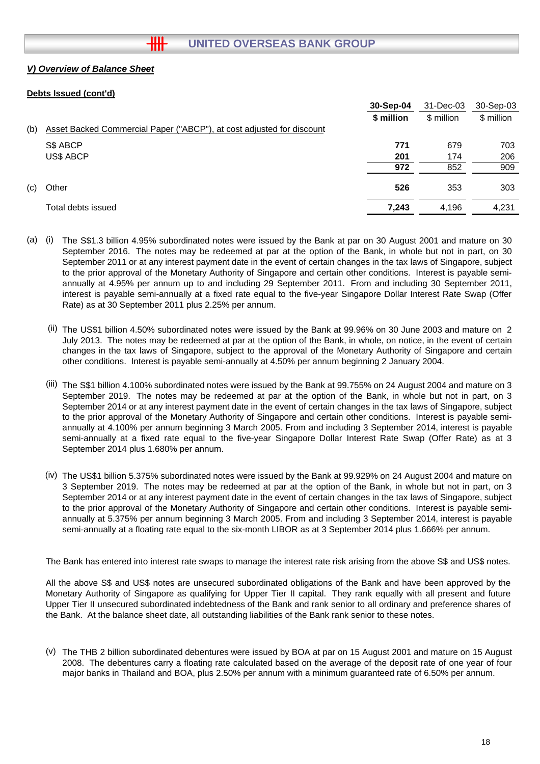## **Debts Issued (cont'd)**

|     |                                                                       | 30-Sep-04  | 31-Dec-03  | 30-Sep-03  |
|-----|-----------------------------------------------------------------------|------------|------------|------------|
|     |                                                                       | \$ million | \$ million | \$ million |
| (b) | Asset Backed Commercial Paper ("ABCP"), at cost adjusted for discount |            |            |            |
|     | S\$ ABCP                                                              | 771        | 679        | 703        |
|     | <b>US\$ ABCP</b>                                                      | 201        | 174        | 206        |
|     |                                                                       | 972        | 852        | 909        |
| (c) | Other                                                                 | 526        | 353        | 303        |
|     | Total debts issued                                                    | 7,243      | 4,196      | 4,231      |
|     |                                                                       |            |            |            |

- (a) (i) The S\$1.3 billion 4.95% subordinated notes were issued by the Bank at par on 30 August 2001 and mature on 30 September 2016. The notes may be redeemed at par at the option of the Bank, in whole but not in part, on 30 September 2011 or at any interest payment date in the event of certain changes in the tax laws of Singapore, subject to the prior approval of the Monetary Authority of Singapore and certain other conditions. Interest is payable semiannually at 4.95% per annum up to and including 29 September 2011. From and including 30 September 2011, interest is payable semi-annually at a fixed rate equal to the five-year Singapore Dollar Interest Rate Swap (Offer Rate) as at 30 September 2011 plus 2.25% per annum.
	- (ii) The US\$1 billion 4.50% subordinated notes were issued by the Bank at 99.96% on 30 June 2003 and mature on 2 July 2013. The notes may be redeemed at par at the option of the Bank, in whole, on notice, in the event of certain changes in the tax laws of Singapore, subject to the approval of the Monetary Authority of Singapore and certain other conditions. Interest is payable semi-annually at 4.50% per annum beginning 2 January 2004.
	- (iii) The S\$1 billion 4.100% subordinated notes were issued by the Bank at 99.755% on 24 August 2004 and mature on 3 September 2019. The notes may be redeemed at par at the option of the Bank, in whole but not in part, on 3 September 2014 or at any interest payment date in the event of certain changes in the tax laws of Singapore, subject to the prior approval of the Monetary Authority of Singapore and certain other conditions. Interest is payable semiannually at 4.100% per annum beginning 3 March 2005. From and including 3 September 2014, interest is payable semi-annually at a fixed rate equal to the five-year Singapore Dollar Interest Rate Swap (Offer Rate) as at 3 September 2014 plus 1.680% per annum.
	- (iv) The US\$1 billion 5.375% subordinated notes were issued by the Bank at 99.929% on 24 August 2004 and mature on 3 September 2019. The notes may be redeemed at par at the option of the Bank, in whole but not in part, on 3 September 2014 or at any interest payment date in the event of certain changes in the tax laws of Singapore, subject to the prior approval of the Monetary Authority of Singapore and certain other conditions. Interest is payable semiannually at 5.375% per annum beginning 3 March 2005. From and including 3 September 2014, interest is payable semi-annually at a floating rate equal to the six-month LIBOR as at 3 September 2014 plus 1.666% per annum.

The Bank has entered into interest rate swaps to manage the interest rate risk arising from the above S\$ and US\$ notes.

All the above S\$ and US\$ notes are unsecured subordinated obligations of the Bank and have been approved by the Monetary Authority of Singapore as qualifying for Upper Tier II capital. They rank equally with all present and future Upper Tier II unsecured subordinated indebtedness of the Bank and rank senior to all ordinary and preference shares of the Bank. At the balance sheet date, all outstanding liabilities of the Bank rank senior to these notes.

(v) The THB 2 billion subordinated debentures were issued by BOA at par on 15 August 2001 and mature on 15 August 2008. The debentures carry a floating rate calculated based on the average of the deposit rate of one year of four major banks in Thailand and BOA, plus 2.50% per annum with a minimum guaranteed rate of 6.50% per annum.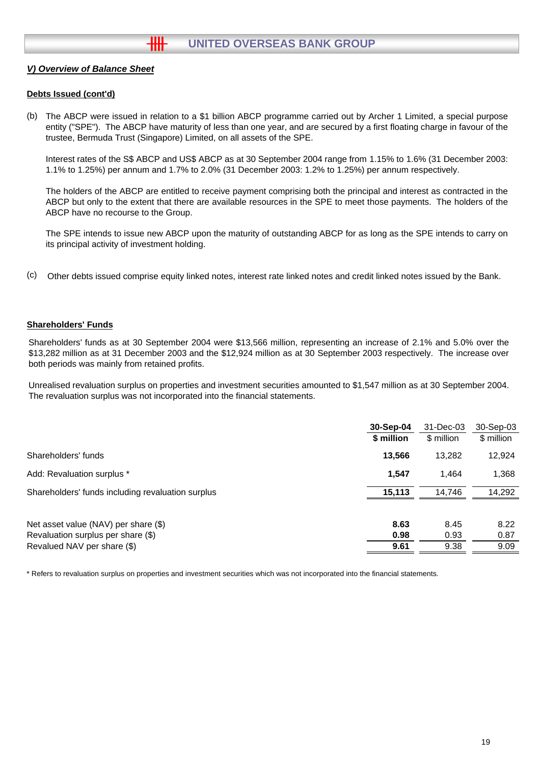## **Debts Issued (cont'd)**

(b) The ABCP were issued in relation to a \$1 billion ABCP programme carried out by Archer 1 Limited, a special purpose entity ("SPE"). The ABCP have maturity of less than one year, and are secured by a first floating charge in favour of the trustee, Bermuda Trust (Singapore) Limited, on all assets of the SPE.

Interest rates of the S\$ ABCP and US\$ ABCP as at 30 September 2004 range from 1.15% to 1.6% (31 December 2003: 1.1% to 1.25%) per annum and 1.7% to 2.0% (31 December 2003: 1.2% to 1.25%) per annum respectively.

The holders of the ABCP are entitled to receive payment comprising both the principal and interest as contracted in the ABCP but only to the extent that there are available resources in the SPE to meet those payments. The holders of the ABCP have no recourse to the Group.

The SPE intends to issue new ABCP upon the maturity of outstanding ABCP for as long as the SPE intends to carry on its principal activity of investment holding.

(c) Other debts issued comprise equity linked notes, interest rate linked notes and credit linked notes issued by the Bank.

#### **Shareholders' Funds**

Shareholders' funds as at 30 September 2004 were \$13,566 million, representing an increase of 2.1% and 5.0% over the \$13,282 million as at 31 December 2003 and the \$12,924 million as at 30 September 2003 respectively. The increase over both periods was mainly from retained profits.

Unrealised revaluation surplus on properties and investment securities amounted to \$1,547 million as at 30 September 2004. The revaluation surplus was not incorporated into the financial statements.

|                                                   | 30-Sep-04  | 31-Dec-03  | 30-Sep-03  |
|---------------------------------------------------|------------|------------|------------|
|                                                   | \$ million | \$ million | \$ million |
| Shareholders' funds                               | 13,566     | 13.282     | 12,924     |
| Add: Revaluation surplus *                        | 1,547      | 1.464      | 1,368      |
| Shareholders' funds including revaluation surplus | 15,113     | 14,746     | 14,292     |
|                                                   |            |            |            |
| Net asset value (NAV) per share (\$)              | 8.63       | 8.45       | 8.22       |
| Revaluation surplus per share (\$)                | 0.98       | 0.93       | 0.87       |
| Revalued NAV per share (\$)                       | 9.61       | 9.38       | 9.09       |
|                                                   |            |            |            |

\* Refers to revaluation surplus on properties and investment securities which was not incorporated into the financial statements.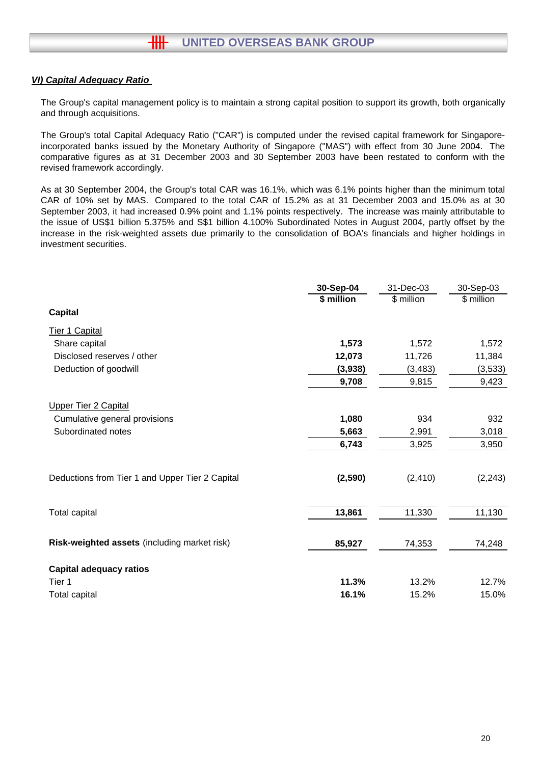## *VI) Capital Adequacy Ratio*

The Group's capital management policy is to maintain a strong capital position to support its growth, both organically and through acquisitions.

The Group's total Capital Adequacy Ratio ("CAR") is computed under the revised capital framework for Singaporeincorporated banks issued by the Monetary Authority of Singapore ("MAS") with effect from 30 June 2004. The comparative figures as at 31 December 2003 and 30 September 2003 have been restated to conform with the revised framework accordingly.

As at 30 September 2004, the Group's total CAR was 16.1%, which was 6.1% points higher than the minimum total CAR of 10% set by MAS. Compared to the total CAR of 15.2% as at 31 December 2003 and 15.0% as at 30 September 2003, it had increased 0.9% point and 1.1% points respectively. The increase was mainly attributable to the issue of US\$1 billion 5.375% and S\$1 billion 4.100% Subordinated Notes in August 2004, partly offset by the increase in the risk-weighted assets due primarily to the consolidation of BOA's financials and higher holdings in investment securities.

|                                                 | 30-Sep-04  | 31-Dec-03  | 30-Sep-03  |
|-------------------------------------------------|------------|------------|------------|
|                                                 | \$ million | \$ million | \$ million |
| <b>Capital</b>                                  |            |            |            |
| Tier 1 Capital                                  |            |            |            |
| Share capital                                   | 1,573      | 1,572      | 1,572      |
| Disclosed reserves / other                      | 12,073     | 11,726     | 11,384     |
| Deduction of goodwill                           | (3,938)    | (3, 483)   | (3,533)    |
|                                                 | 9,708      | 9,815      | 9,423      |
| <b>Upper Tier 2 Capital</b>                     |            |            |            |
| Cumulative general provisions                   | 1,080      | 934        | 932        |
| Subordinated notes                              | 5,663      | 2,991      | 3,018      |
|                                                 | 6,743      | 3,925      | 3,950      |
| Deductions from Tier 1 and Upper Tier 2 Capital | (2,590)    | (2, 410)   | (2, 243)   |
| Total capital                                   | 13,861     | 11,330     | 11,130     |
| Risk-weighted assets (including market risk)    | 85,927     | 74,353     | 74,248     |
| <b>Capital adequacy ratios</b>                  |            |            |            |
| Tier 1                                          | 11.3%      | 13.2%      | 12.7%      |
| Total capital                                   | 16.1%      | 15.2%      | 15.0%      |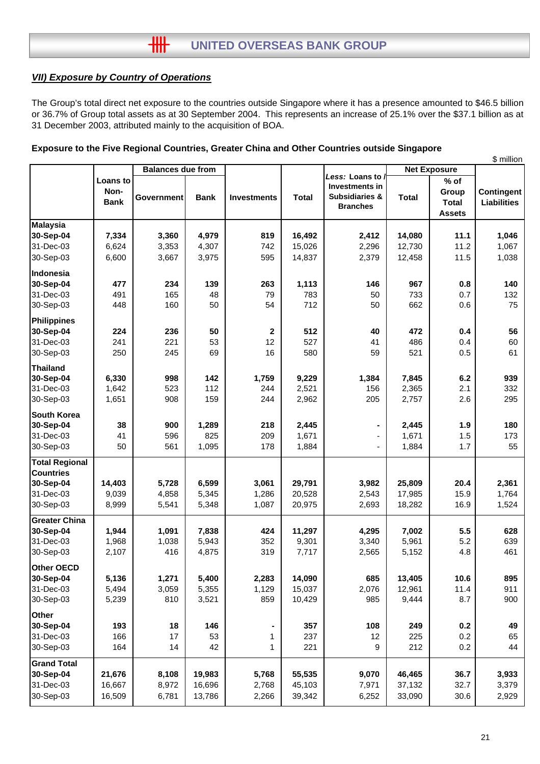# *VII) Exposure by Country of Operations*

The Group's total direct net exposure to the countries outside Singapore where it has a presence amounted to \$46.5 billion or 36.7% of Group total assets as at 30 September 2004. This represents an increase of 25.1% over the \$37.1 billion as at 31 December 2003, attributed mainly to the acquisition of BOA.

|                       |             |                          |             |                    |              |                                    |                     |               | \$ million         |
|-----------------------|-------------|--------------------------|-------------|--------------------|--------------|------------------------------------|---------------------|---------------|--------------------|
|                       |             | <b>Balances due from</b> |             |                    |              |                                    | <b>Net Exposure</b> |               |                    |
|                       | Loans to    |                          |             |                    |              | Less: Loans to /<br>Investments in |                     | $%$ of        |                    |
|                       | Non-        |                          |             |                    |              | <b>Subsidiaries &amp;</b>          |                     | Group         | Contingent         |
|                       | <b>Bank</b> | Government               | <b>Bank</b> | <b>Investments</b> | <b>Total</b> | <b>Branches</b>                    | <b>Total</b>        | <b>Total</b>  | <b>Liabilities</b> |
|                       |             |                          |             |                    |              |                                    |                     | <b>Assets</b> |                    |
| <b>Malaysia</b>       |             |                          |             |                    |              |                                    |                     |               |                    |
| 30-Sep-04             | 7,334       | 3,360                    | 4,979       | 819                | 16,492       | 2,412                              | 14,080              | 11.1          | 1,046              |
| 31-Dec-03             | 6,624       | 3,353                    | 4,307       | 742                | 15,026       | 2,296                              | 12,730              | 11.2          | 1,067              |
| 30-Sep-03             | 6,600       | 3,667                    | 3,975       | 595                | 14,837       | 2,379                              | 12,458              | 11.5          | 1,038              |
| Indonesia             |             |                          |             |                    |              |                                    |                     |               |                    |
| 30-Sep-04             | 477         | 234                      | 139         | 263                | 1,113        | 146                                | 967                 | 0.8           | 140                |
| 31-Dec-03             | 491         | 165                      | 48          | 79                 | 783          | 50                                 | 733                 | 0.7           | 132                |
| 30-Sep-03             | 448         | 160                      | 50          | 54                 | 712          | 50                                 | 662                 | 0.6           | 75                 |
| <b>Philippines</b>    |             |                          |             |                    |              |                                    |                     |               |                    |
| 30-Sep-04             | 224         | 236                      | 50          | $\mathbf{2}$       | 512          | 40                                 | 472                 | 0.4           | 56                 |
| 31-Dec-03             | 241         | 221                      | 53          | 12                 | 527          | 41                                 | 486                 | 0.4           | 60                 |
| 30-Sep-03             | 250         | 245                      | 69          | 16                 | 580          | 59                                 | 521                 | 0.5           | 61                 |
| <b>Thailand</b>       |             |                          |             |                    |              |                                    |                     |               |                    |
| 30-Sep-04             | 6,330       | 998                      | 142         | 1,759              | 9,229        | 1,384                              | 7,845               | 6.2           | 939                |
| 31-Dec-03             | 1,642       | 523                      | 112         | 244                | 2,521        | 156                                | 2,365               | 2.1           | 332                |
| 30-Sep-03             | 1,651       | 908                      | 159         | 244                | 2,962        | 205                                | 2,757               | 2.6           | 295                |
| <b>South Korea</b>    |             |                          |             |                    |              |                                    |                     |               |                    |
| 30-Sep-04             | 38          | 900                      | 1,289       | 218                | 2,445        |                                    | 2,445               | 1.9           | 180                |
| 31-Dec-03             | 41          | 596                      | 825         | 209                | 1,671        |                                    | 1,671               | 1.5           | 173                |
| 30-Sep-03             | 50          | 561                      | 1,095       | 178                | 1,884        |                                    | 1,884               | 1.7           | 55                 |
| <b>Total Regional</b> |             |                          |             |                    |              |                                    |                     |               |                    |
| <b>Countries</b>      |             |                          |             |                    |              |                                    |                     |               |                    |
| 30-Sep-04             | 14,403      | 5,728                    | 6,599       | 3,061              | 29,791       | 3,982                              | 25,809              | 20.4          | 2,361              |
| 31-Dec-03             | 9,039       | 4,858                    | 5,345       | 1,286              | 20,528       | 2,543                              | 17,985              | 15.9          | 1,764              |
| 30-Sep-03             | 8,999       | 5,541                    | 5,348       | 1,087              | 20,975       | 2,693                              | 18,282              | 16.9          | 1,524              |
| <b>Greater China</b>  |             |                          |             |                    |              |                                    |                     |               |                    |
| 30-Sep-04             | 1,944       | 1,091                    | 7,838       | 424                | 11,297       | 4,295                              | 7,002               | 5.5           | 628                |
| 31-Dec-03             | 1,968       | 1,038                    | 5,943       | 352                | 9,301        | 3,340                              | 5,961               | 5.2           | 639                |
| 30-Sep-03             | 2,107       | 416                      | 4,875       | 319                | 7,717        | 2,565                              | 5,152               | 4.8           | 461                |
| Other OECD            |             |                          |             |                    |              |                                    |                     |               |                    |
| 30-Sep-04             | 5,136       | 1,271                    | 5,400       | 2,283              | 14,090       | 685                                | 13,405              | 10.6          | 895                |
| 31-Dec-03             | 5,494       | 3,059                    | 5,355       | 1,129              | 15,037       | 2,076                              | 12,961              | 11.4          | 911                |
| 30-Sep-03             | 5,239       | 810                      | 3,521       | 859                | 10,429       | 985                                | 9,444               | 8.7           | 900                |
| <b>Other</b>          |             |                          |             |                    |              |                                    |                     |               |                    |
| 30-Sep-04             | 193         | 18                       | 146         |                    | 357          | 108                                | 249                 | 0.2           | 49                 |
| 31-Dec-03             | 166         | 17                       | 53          | 1                  | 237          | 12                                 | 225                 | 0.2           | 65                 |
| 30-Sep-03             | 164         | 14                       | 42          | $\mathbf{1}$       | 221          | 9                                  | 212                 | 0.2           | 44                 |
| <b>Grand Total</b>    |             |                          |             |                    |              |                                    |                     |               |                    |
| 30-Sep-04             | 21,676      | 8,108                    | 19,983      | 5,768              | 55,535       | 9,070                              | 46,465              | 36.7          | 3,933              |
| 31-Dec-03             | 16,667      | 8,972                    | 16,696      | 2,768              | 45,103       | 7,971                              | 37,132              | 32.7          | 3,379              |
| 30-Sep-03             | 16,509      | 6,781                    | 13,786      | 2,266              | 39,342       | 6,252                              | 33,090              | 30.6          | 2,929              |

## **Exposure to the Five Regional Countries, Greater China and Other Countries outside Singapore**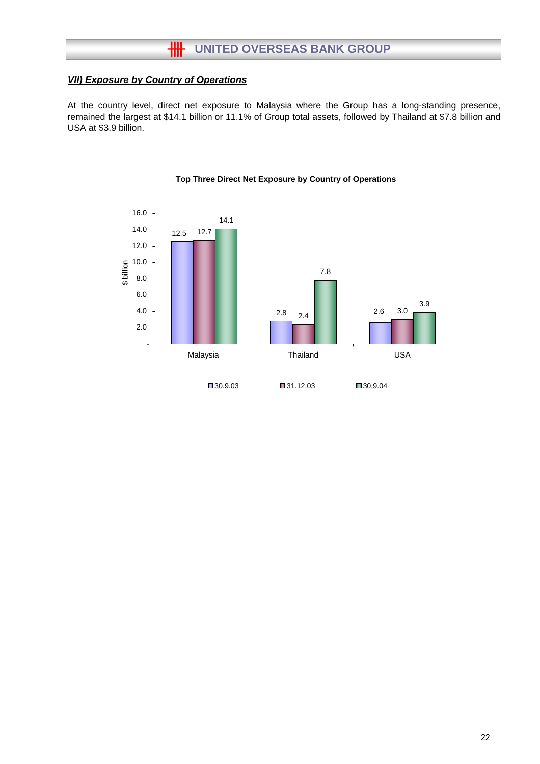# *VII) Exposure by Country of Operations*

At the country level, direct net exposure to Malaysia where the Group has a long-standing presence, remained the largest at \$14.1 billion or 11.1% of Group total assets, followed by Thailand at \$7.8 billion and USA at \$3.9 billion.

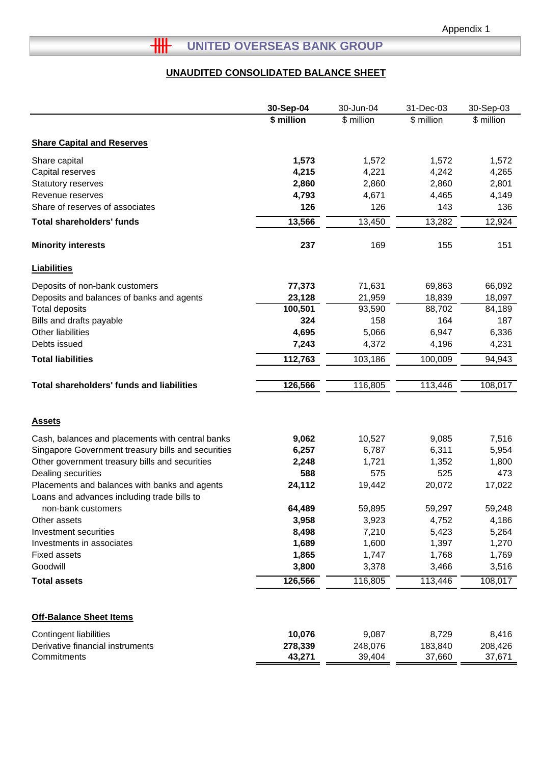# **THE UNITED OVERSEAS BANK GROUP**

# **UNAUDITED CONSOLIDATED BALANCE SHEET**

|                                                    | 30-Sep-04  | 30-Jun-04  | 31-Dec-03  | 30-Sep-03  |
|----------------------------------------------------|------------|------------|------------|------------|
|                                                    | \$ million | \$ million | \$ million | \$ million |
|                                                    |            |            |            |            |
| <b>Share Capital and Reserves</b>                  |            |            |            |            |
| Share capital                                      | 1,573      | 1,572      | 1,572      | 1,572      |
| Capital reserves                                   | 4,215      | 4,221      | 4,242      | 4,265      |
| Statutory reserves                                 | 2,860      | 2,860      | 2,860      | 2,801      |
| Revenue reserves                                   | 4,793      | 4,671      | 4,465      | 4,149      |
| Share of reserves of associates                    | 126        | 126        | 143        | 136        |
| <b>Total shareholders' funds</b>                   | 13,566     | 13,450     | 13,282     | 12,924     |
| <b>Minority interests</b>                          | 237        | 169        | 155        | 151        |
| <b>Liabilities</b>                                 |            |            |            |            |
| Deposits of non-bank customers                     | 77,373     | 71,631     | 69,863     | 66,092     |
| Deposits and balances of banks and agents          | 23,128     | 21,959     | 18,839     | 18,097     |
| <b>Total deposits</b>                              | 100,501    | 93,590     | 88,702     | 84,189     |
| Bills and drafts payable                           | 324        | 158        | 164        | 187        |
| Other liabilities                                  | 4,695      | 5,066      | 6,947      | 6,336      |
| Debts issued                                       | 7,243      | 4,372      | 4,196      | 4,231      |
| <b>Total liabilities</b>                           | 112,763    | 103,186    | 100,009    | 94,943     |
|                                                    |            |            |            |            |
| <b>Total shareholders' funds and liabilities</b>   | 126,566    | 116,805    | 113,446    | 108,017    |
|                                                    |            |            |            |            |
| <b>Assets</b>                                      |            |            |            |            |
| Cash, balances and placements with central banks   | 9,062      | 10,527     | 9,085      | 7,516      |
| Singapore Government treasury bills and securities | 6,257      | 6,787      | 6,311      | 5,954      |
| Other government treasury bills and securities     | 2,248      | 1,721      | 1,352      | 1,800      |
| Dealing securities                                 | 588        | 575        | 525        | 473        |
| Placements and balances with banks and agents      | 24,112     | 19,442     | 20,072     | 17,022     |
| Loans and advances including trade bills to        |            |            |            |            |
| non-bank customers                                 | 64,489     | 59,895     | 59,297     | 59,248     |
| Other assets                                       | 3,958      | 3,923      | 4,752      | 4,186      |
| Investment securities                              | 8,498      | 7,210      | 5,423      | 5,264      |
| Investments in associates                          | 1,689      | 1,600      | 1,397      | 1,270      |
| <b>Fixed assets</b>                                | 1,865      | 1,747      | 1,768      | 1,769      |
| Goodwill                                           | 3,800      | 3,378      | 3,466      | 3,516      |
| <b>Total assets</b>                                | 126,566    | 116,805    | 113,446    | 108,017    |
|                                                    |            |            |            |            |
| <b>Off-Balance Sheet Items</b>                     |            |            |            |            |
| <b>Contingent liabilities</b>                      | 10,076     | 9,087      | 8,729      | 8,416      |
| Derivative financial instruments                   | 278,339    | 248,076    | 183,840    | 208,426    |
| Commitments                                        | 43,271     | 39,404     | 37,660     | 37,671     |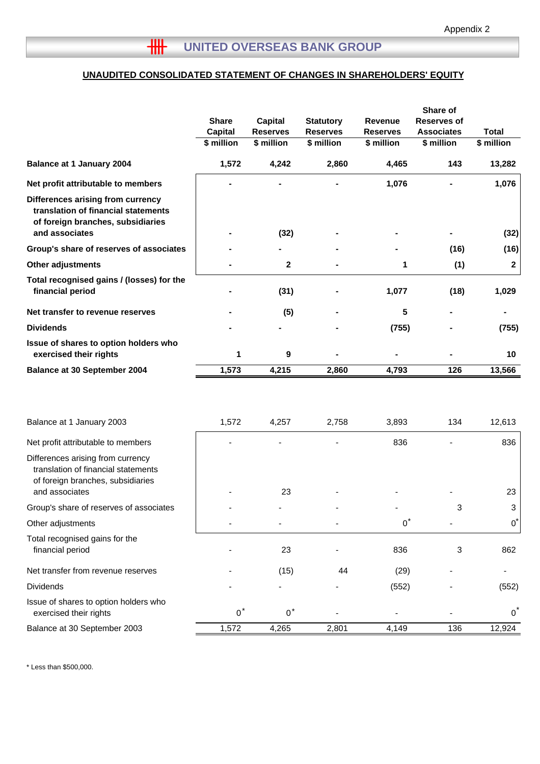# **UNAUDITED CONSOLIDATED STATEMENT OF CHANGES IN SHAREHOLDERS' EQUITY**

|                                                                                                                                 | <b>Share</b><br><b>Capital</b><br>\$ million | Capital<br><b>Reserves</b><br>\$ million | <b>Statutory</b><br><b>Reserves</b><br>\$ million | <b>Revenue</b><br><b>Reserves</b><br>\$ million | Share of<br><b>Reserves of</b><br><b>Associates</b><br>\$ million | <b>Total</b><br>\$ million |
|---------------------------------------------------------------------------------------------------------------------------------|----------------------------------------------|------------------------------------------|---------------------------------------------------|-------------------------------------------------|-------------------------------------------------------------------|----------------------------|
| <b>Balance at 1 January 2004</b>                                                                                                | 1,572                                        | 4,242                                    | 2,860                                             | 4,465                                           | 143                                                               | 13,282                     |
| Net profit attributable to members                                                                                              |                                              |                                          |                                                   | 1,076                                           |                                                                   | 1,076                      |
| Differences arising from currency<br>translation of financial statements<br>of foreign branches, subsidiaries<br>and associates |                                              | (32)                                     |                                                   |                                                 |                                                                   | (32)                       |
| Group's share of reserves of associates                                                                                         |                                              |                                          |                                                   |                                                 | (16)                                                              | (16)                       |
| Other adjustments                                                                                                               |                                              | $\mathbf{2}$                             |                                                   | 1                                               | (1)                                                               | $\boldsymbol{2}$           |
| Total recognised gains / (losses) for the<br>financial period                                                                   |                                              | (31)                                     |                                                   | 1,077                                           | (18)                                                              | 1,029                      |
| Net transfer to revenue reserves                                                                                                |                                              | (5)                                      |                                                   | 5                                               |                                                                   |                            |
| <b>Dividends</b>                                                                                                                |                                              |                                          |                                                   | (755)                                           |                                                                   | (755)                      |
| Issue of shares to option holders who<br>exercised their rights                                                                 | 1                                            | 9                                        |                                                   |                                                 |                                                                   | 10                         |
| Balance at 30 September 2004                                                                                                    | 1,573                                        | 4,215                                    | 2,860                                             | 4,793                                           | 126                                                               | 13,566                     |
| Balance at 1 January 2003                                                                                                       | 1,572                                        | 4,257                                    | 2,758                                             | 3,893                                           | 134                                                               | 12,613                     |
| Net profit attributable to members                                                                                              |                                              |                                          |                                                   | 836                                             |                                                                   | 836                        |
| Differences arising from currency<br>translation of financial statements<br>of foreign branches, subsidiaries<br>and associates |                                              | 23                                       |                                                   |                                                 |                                                                   | 23                         |
| Group's share of reserves of associates                                                                                         |                                              |                                          |                                                   |                                                 | 3                                                                 | 3                          |
| Other adjustments                                                                                                               |                                              |                                          |                                                   | $0^*$                                           |                                                                   | $0^*$                      |
| Total recognised gains for the<br>financial period                                                                              |                                              | 23                                       |                                                   | 836                                             | 3                                                                 | 862                        |
| Net transfer from revenue reserves                                                                                              |                                              | (15)                                     | 44                                                | (29)                                            |                                                                   |                            |
| <b>Dividends</b>                                                                                                                |                                              |                                          |                                                   | (552)                                           |                                                                   | (552)                      |
| Issue of shares to option holders who<br>exercised their rights                                                                 | $0^*$                                        | $0^*$                                    |                                                   |                                                 |                                                                   | 0                          |
| Balance at 30 September 2003                                                                                                    | 1,572                                        | 4,265                                    | 2,801                                             | 4,149                                           | 136                                                               | 12,924                     |

\* Less than \$500,000.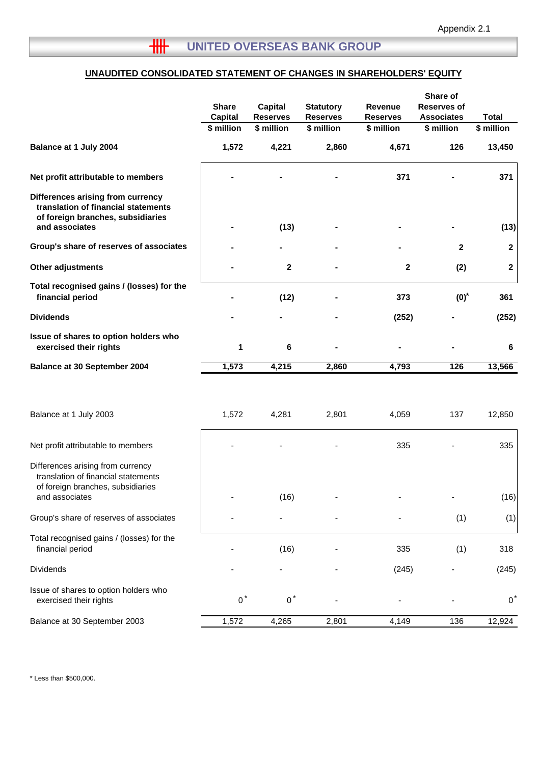# **UNAUDITED CONSOLIDATED STATEMENT OF CHANGES IN SHAREHOLDERS' EQUITY**

|                                                                                                                                 | <b>Share</b><br><b>Capital</b><br>\$ million | <b>Capital</b><br><b>Reserves</b><br>\$ million | <b>Statutory</b><br><b>Reserves</b><br>\$ million | Revenue<br><b>Reserves</b><br>\$ million | Share of<br><b>Reserves of</b><br><b>Associates</b><br>\$ million | <b>Total</b><br>\$ million |
|---------------------------------------------------------------------------------------------------------------------------------|----------------------------------------------|-------------------------------------------------|---------------------------------------------------|------------------------------------------|-------------------------------------------------------------------|----------------------------|
| Balance at 1 July 2004                                                                                                          | 1,572                                        | 4,221                                           | 2,860                                             | 4,671                                    | 126                                                               | 13,450                     |
| Net profit attributable to members                                                                                              |                                              |                                                 |                                                   | 371                                      |                                                                   | 371                        |
| Differences arising from currency<br>translation of financial statements<br>of foreign branches, subsidiaries<br>and associates |                                              | (13)                                            |                                                   |                                          |                                                                   | (13)                       |
| Group's share of reserves of associates                                                                                         |                                              |                                                 |                                                   |                                          | $\mathbf{2}$                                                      | $\mathbf{2}$               |
| Other adjustments                                                                                                               |                                              | $\boldsymbol{2}$                                |                                                   | 2                                        | (2)                                                               | $\mathbf{2}$               |
| Total recognised gains / (losses) for the<br>financial period                                                                   |                                              | (12)                                            |                                                   | 373                                      | $(0)*$                                                            | 361                        |
| <b>Dividends</b>                                                                                                                |                                              |                                                 |                                                   | (252)                                    |                                                                   | (252)                      |
| Issue of shares to option holders who<br>exercised their rights                                                                 | 1                                            | 6                                               |                                                   |                                          |                                                                   | 6                          |
| <b>Balance at 30 September 2004</b>                                                                                             | 1,573                                        | 4,215                                           | 2,860                                             | 4,793                                    | 126                                                               | 13,566                     |
| Balance at 1 July 2003                                                                                                          | 1,572                                        | 4,281                                           | 2,801                                             | 4,059                                    | 137                                                               | 12,850                     |
| Net profit attributable to members                                                                                              |                                              |                                                 |                                                   | 335                                      |                                                                   | 335                        |
| Differences arising from currency<br>translation of financial statements<br>of foreign branches, subsidiaries<br>and associates |                                              | (16)                                            |                                                   |                                          |                                                                   | (16)                       |
| Group's share of reserves of associates                                                                                         |                                              |                                                 |                                                   |                                          | (1)                                                               | (1)                        |
| Total recognised gains / (losses) for the<br>financial period                                                                   |                                              | (16)                                            |                                                   | 335                                      | (1)                                                               | 318                        |
| Dividends                                                                                                                       |                                              |                                                 |                                                   | (245)                                    |                                                                   | (245)                      |
| Issue of shares to option holders who<br>exercised their rights                                                                 | $0^*$                                        | $0^*$                                           |                                                   |                                          |                                                                   | $0^{\prime}$               |
| Balance at 30 September 2003                                                                                                    | 1,572                                        | 4,265                                           | 2,801                                             | 4,149                                    | 136                                                               | 12,924                     |

\* Less than \$500,000.